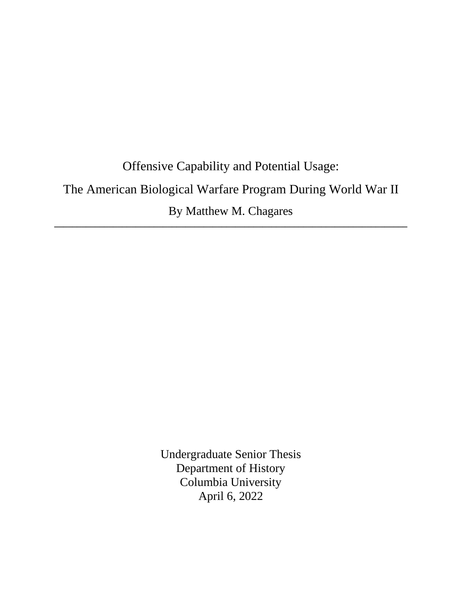# Offensive Capability and Potential Usage: The American Biological Warfare Program During World War II By Matthew M. Chagares **\_\_\_\_\_\_\_\_\_\_\_\_\_\_\_\_\_\_\_\_\_\_\_\_\_\_\_\_\_\_\_\_\_\_\_\_\_\_\_\_\_\_\_\_\_\_\_\_\_\_\_\_\_\_\_\_\_\_\_\_\_\_\_\_\_\_\_\_\_\_\_\_\_\_\_\_\_\_**

Undergraduate Senior Thesis Department of History Columbia University April 6, 2022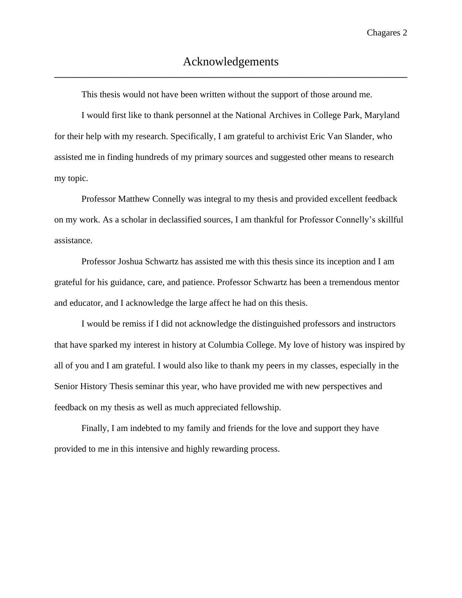This thesis would not have been written without the support of those around me.

I would first like to thank personnel at the National Archives in College Park, Maryland for their help with my research. Specifically, I am grateful to archivist Eric Van Slander, who assisted me in finding hundreds of my primary sources and suggested other means to research my topic.

Professor Matthew Connelly was integral to my thesis and provided excellent feedback on my work. As a scholar in declassified sources, I am thankful for Professor Connelly's skillful assistance.

Professor Joshua Schwartz has assisted me with this thesis since its inception and I am grateful for his guidance, care, and patience. Professor Schwartz has been a tremendous mentor and educator, and I acknowledge the large affect he had on this thesis.

I would be remiss if I did not acknowledge the distinguished professors and instructors that have sparked my interest in history at Columbia College. My love of history was inspired by all of you and I am grateful. I would also like to thank my peers in my classes, especially in the Senior History Thesis seminar this year, who have provided me with new perspectives and feedback on my thesis as well as much appreciated fellowship.

Finally, I am indebted to my family and friends for the love and support they have provided to me in this intensive and highly rewarding process.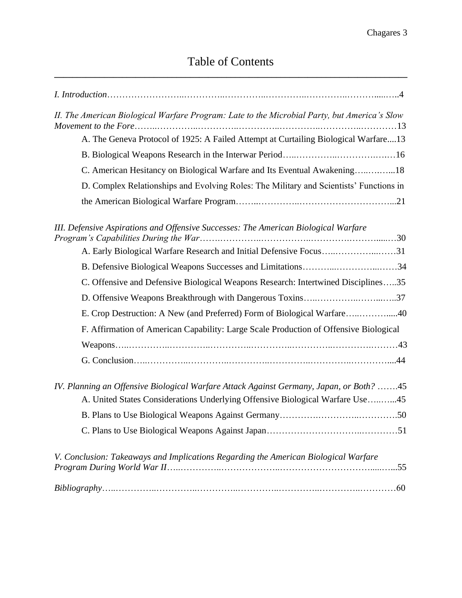| II. The American Biological Warfare Program: Late to the Microbial Party, but America's Slow                                                                             |
|--------------------------------------------------------------------------------------------------------------------------------------------------------------------------|
| A. The Geneva Protocol of 1925: A Failed Attempt at Curtailing Biological Warfare13                                                                                      |
|                                                                                                                                                                          |
| C. American Hesitancy on Biological Warfare and Its Eventual Awakening18                                                                                                 |
| D. Complex Relationships and Evolving Roles: The Military and Scientists' Functions in                                                                                   |
|                                                                                                                                                                          |
| III. Defensive Aspirations and Offensive Successes: The American Biological Warfare                                                                                      |
| A. Early Biological Warfare Research and Initial Defensive Focus31                                                                                                       |
| B. Defensive Biological Weapons Successes and Limitations34                                                                                                              |
| C. Offensive and Defensive Biological Weapons Research: Intertwined Disciplines35                                                                                        |
| D. Offensive Weapons Breakthrough with Dangerous Toxins37                                                                                                                |
| E. Crop Destruction: A New (and Preferred) Form of Biological Warfare40                                                                                                  |
| F. Affirmation of American Capability: Large Scale Production of Offensive Biological                                                                                    |
|                                                                                                                                                                          |
|                                                                                                                                                                          |
| IV. Planning an Offensive Biological Warfare Attack Against Germany, Japan, or Both? 45<br>A. United States Considerations Underlying Offensive Biological Warfare Use45 |
|                                                                                                                                                                          |
|                                                                                                                                                                          |
| V. Conclusion: Takeaways and Implications Regarding the American Biological Warfare                                                                                      |
|                                                                                                                                                                          |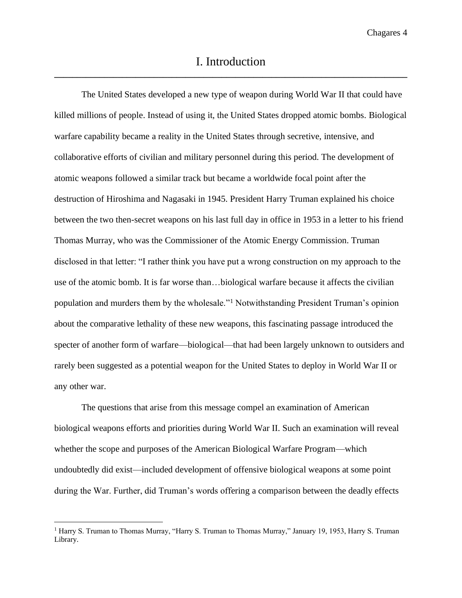The United States developed a new type of weapon during World War II that could have killed millions of people. Instead of using it, the United States dropped atomic bombs. Biological warfare capability became a reality in the United States through secretive, intensive, and collaborative efforts of civilian and military personnel during this period. The development of atomic weapons followed a similar track but became a worldwide focal point after the destruction of Hiroshima and Nagasaki in 1945. President Harry Truman explained his choice between the two then-secret weapons on his last full day in office in 1953 in a letter to his friend Thomas Murray, who was the Commissioner of the Atomic Energy Commission. Truman disclosed in that letter: "I rather think you have put a wrong construction on my approach to the use of the atomic bomb. It is far worse than…biological warfare because it affects the civilian population and murders them by the wholesale."<sup>1</sup> Notwithstanding President Truman's opinion about the comparative lethality of these new weapons, this fascinating passage introduced the specter of another form of warfare—biological—that had been largely unknown to outsiders and rarely been suggested as a potential weapon for the United States to deploy in World War II or any other war.

The questions that arise from this message compel an examination of American biological weapons efforts and priorities during World War II. Such an examination will reveal whether the scope and purposes of the American Biological Warfare Program—which undoubtedly did exist—included development of offensive biological weapons at some point during the War. Further, did Truman's words offering a comparison between the deadly effects

<sup>1</sup> Harry S. Truman to Thomas Murray, "Harry S. Truman to Thomas Murray," January 19, 1953, Harry S. Truman Library.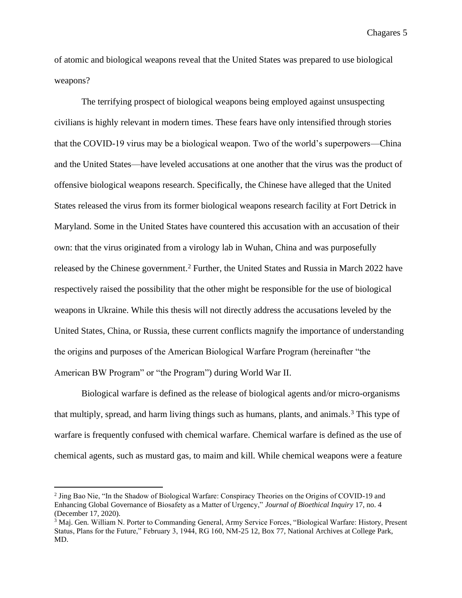of atomic and biological weapons reveal that the United States was prepared to use biological weapons?

The terrifying prospect of biological weapons being employed against unsuspecting civilians is highly relevant in modern times. These fears have only intensified through stories that the COVID-19 virus may be a biological weapon. Two of the world's superpowers—China and the United States—have leveled accusations at one another that the virus was the product of offensive biological weapons research. Specifically, the Chinese have alleged that the United States released the virus from its former biological weapons research facility at Fort Detrick in Maryland. Some in the United States have countered this accusation with an accusation of their own: that the virus originated from a virology lab in Wuhan, China and was purposefully released by the Chinese government.<sup>2</sup> Further, the United States and Russia in March 2022 have respectively raised the possibility that the other might be responsible for the use of biological weapons in Ukraine. While this thesis will not directly address the accusations leveled by the United States, China, or Russia, these current conflicts magnify the importance of understanding the origins and purposes of the American Biological Warfare Program (hereinafter "the American BW Program" or "the Program") during World War II.

Biological warfare is defined as the release of biological agents and/or micro-organisms that multiply, spread, and harm living things such as humans, plants, and animals.<sup>3</sup> This type of warfare is frequently confused with chemical warfare. Chemical warfare is defined as the use of chemical agents, such as mustard gas, to maim and kill. While chemical weapons were a feature

<sup>&</sup>lt;sup>2</sup> Jing Bao Nie, "In the Shadow of Biological Warfare: Conspiracy Theories on the Origins of COVID-19 and Enhancing Global Governance of Biosafety as a Matter of Urgency," *Journal of Bioethical Inquiry* 17, no. 4 (December 17, 2020).

<sup>3</sup> Maj. Gen. William N. Porter to Commanding General, Army Service Forces, "Biological Warfare: History, Present Status, Plans for the Future," February 3, 1944, RG 160, NM-25 12, Box 77, National Archives at College Park, MD.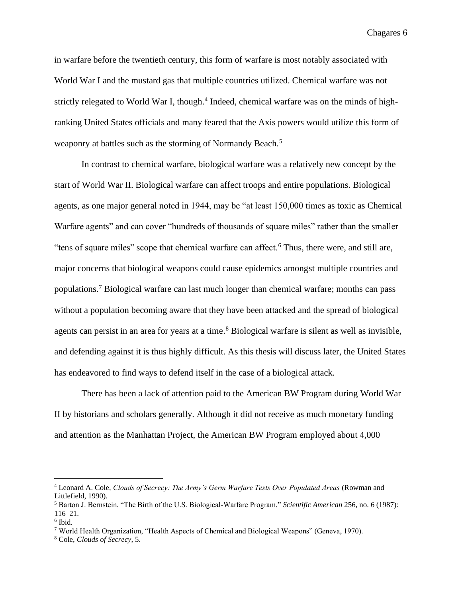in warfare before the twentieth century, this form of warfare is most notably associated with World War I and the mustard gas that multiple countries utilized. Chemical warfare was not strictly relegated to World War I, though.<sup>4</sup> Indeed, chemical warfare was on the minds of highranking United States officials and many feared that the Axis powers would utilize this form of weaponry at battles such as the storming of Normandy Beach.<sup>5</sup>

In contrast to chemical warfare, biological warfare was a relatively new concept by the start of World War II. Biological warfare can affect troops and entire populations. Biological agents, as one major general noted in 1944, may be "at least 150,000 times as toxic as Chemical Warfare agents" and can cover "hundreds of thousands of square miles" rather than the smaller "tens of square miles" scope that chemical warfare can affect.<sup>6</sup> Thus, there were, and still are, major concerns that biological weapons could cause epidemics amongst multiple countries and populations. <sup>7</sup> Biological warfare can last much longer than chemical warfare; months can pass without a population becoming aware that they have been attacked and the spread of biological agents can persist in an area for years at a time. <sup>8</sup> Biological warfare is silent as well as invisible, and defending against it is thus highly difficult. As this thesis will discuss later, the United States has endeavored to find ways to defend itself in the case of a biological attack.

There has been a lack of attention paid to the American BW Program during World War II by historians and scholars generally. Although it did not receive as much monetary funding and attention as the Manhattan Project, the American BW Program employed about 4,000

<sup>4</sup> Leonard A. Cole, *Clouds of Secrecy: The Army's Germ Warfare Tests Over Populated Areas* (Rowman and Littlefield, 1990).

<sup>5</sup> Barton J. Bernstein, "The Birth of the U.S. Biological-Warfare Program," *Scientific American* 256, no. 6 (1987): 116–21.

<sup>6</sup> Ibid.

<sup>7</sup> World Health Organization, "Health Aspects of Chemical and Biological Weapons" (Geneva, 1970).

<sup>8</sup> Cole, *Clouds of Secrecy*, 5.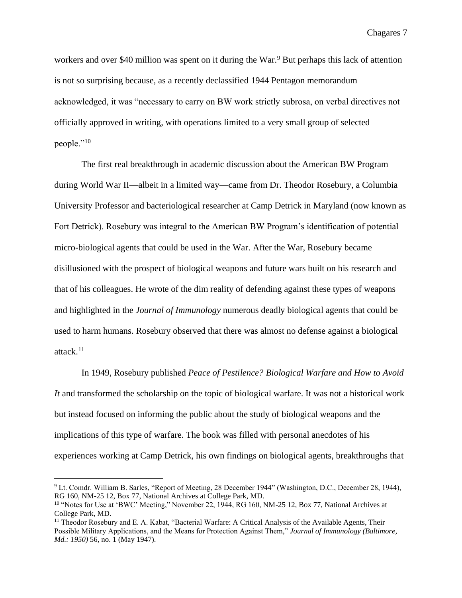workers and over \$40 million was spent on it during the War.<sup>9</sup> But perhaps this lack of attention is not so surprising because, as a recently declassified 1944 Pentagon memorandum acknowledged, it was "necessary to carry on BW work strictly subrosa, on verbal directives not officially approved in writing, with operations limited to a very small group of selected people."<sup>10</sup>

The first real breakthrough in academic discussion about the American BW Program during World War II—albeit in a limited way—came from Dr. Theodor Rosebury, a Columbia University Professor and bacteriological researcher at Camp Detrick in Maryland (now known as Fort Detrick). Rosebury was integral to the American BW Program's identification of potential micro-biological agents that could be used in the War. After the War, Rosebury became disillusioned with the prospect of biological weapons and future wars built on his research and that of his colleagues. He wrote of the dim reality of defending against these types of weapons and highlighted in the *Journal of Immunology* numerous deadly biological agents that could be used to harm humans. Rosebury observed that there was almost no defense against a biological attack.<sup>11</sup>

In 1949, Rosebury published *Peace of Pestilence? Biological Warfare and How to Avoid It* and transformed the scholarship on the topic of biological warfare. It was not a historical work but instead focused on informing the public about the study of biological weapons and the implications of this type of warfare. The book was filled with personal anecdotes of his experiences working at Camp Detrick, his own findings on biological agents, breakthroughs that

<sup>9</sup> Lt. Comdr. William B. Sarles, "Report of Meeting, 28 December 1944" (Washington, D.C., December 28, 1944), RG 160, NM-25 12, Box 77, National Archives at College Park, MD.

<sup>&</sup>lt;sup>10</sup> "Notes for Use at 'BWC' Meeting," November 22, 1944, RG 160, NM-25 12, Box 77, National Archives at College Park, MD.

<sup>&</sup>lt;sup>11</sup> Theodor Rosebury and E. A. Kabat, "Bacterial Warfare: A Critical Analysis of the Available Agents, Their Possible Military Applications, and the Means for Protection Against Them," *Journal of Immunology (Baltimore, Md.: 1950)* 56, no. 1 (May 1947).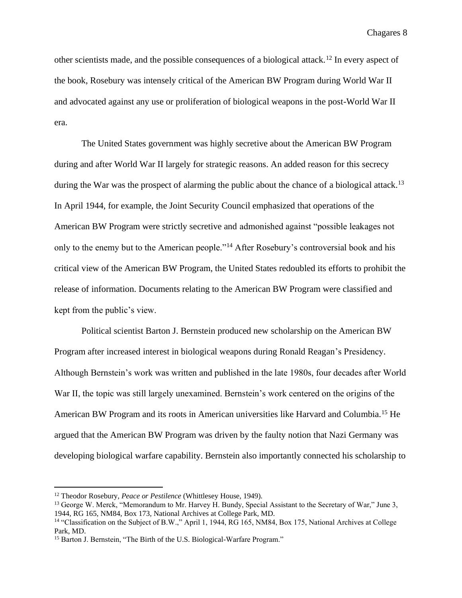other scientists made, and the possible consequences of a biological attack.<sup>12</sup> In every aspect of the book, Rosebury was intensely critical of the American BW Program during World War II and advocated against any use or proliferation of biological weapons in the post-World War II era.

The United States government was highly secretive about the American BW Program during and after World War II largely for strategic reasons. An added reason for this secrecy during the War was the prospect of alarming the public about the chance of a biological attack.<sup>13</sup> In April 1944, for example, the Joint Security Council emphasized that operations of the American BW Program were strictly secretive and admonished against "possible leakages not only to the enemy but to the American people."<sup>14</sup> After Rosebury's controversial book and his critical view of the American BW Program, the United States redoubled its efforts to prohibit the release of information. Documents relating to the American BW Program were classified and kept from the public's view.

Political scientist Barton J. Bernstein produced new scholarship on the American BW Program after increased interest in biological weapons during Ronald Reagan's Presidency. Although Bernstein's work was written and published in the late 1980s, four decades after World War II, the topic was still largely unexamined. Bernstein's work centered on the origins of the American BW Program and its roots in American universities like Harvard and Columbia.<sup>15</sup> He argued that the American BW Program was driven by the faulty notion that Nazi Germany was developing biological warfare capability. Bernstein also importantly connected his scholarship to

<sup>12</sup> Theodor Rosebury, *Peace or Pestilence* (Whittlesey House, 1949).

<sup>&</sup>lt;sup>13</sup> George W. Merck, "Memorandum to Mr. Harvey H. Bundy, Special Assistant to the Secretary of War," June 3, 1944, RG 165, NM84, Box 173, National Archives at College Park, MD.

<sup>&</sup>lt;sup>14</sup> "Classification on the Subject of B.W.," April 1, 1944, RG 165, NM84, Box 175, National Archives at College Park, MD.

<sup>&</sup>lt;sup>15</sup> Barton J. Bernstein, "The Birth of the U.S. Biological-Warfare Program."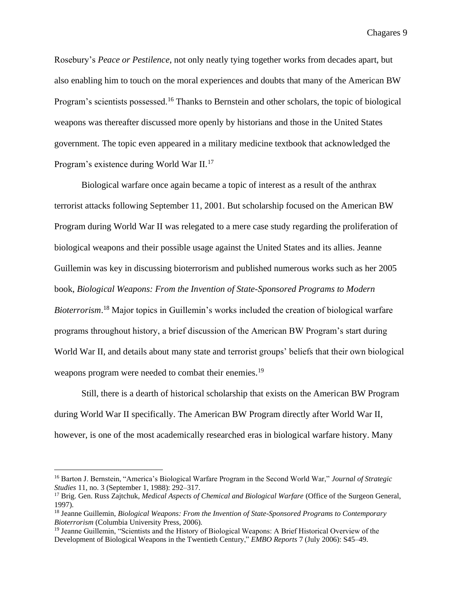Rosebury's *Peace or Pestilence*, not only neatly tying together works from decades apart, but also enabling him to touch on the moral experiences and doubts that many of the American BW Program's scientists possessed.<sup>16</sup> Thanks to Bernstein and other scholars, the topic of biological weapons was thereafter discussed more openly by historians and those in the United States government. The topic even appeared in a military medicine textbook that acknowledged the Program's existence during World War II.<sup>17</sup>

Biological warfare once again became a topic of interest as a result of the anthrax terrorist attacks following September 11, 2001. But scholarship focused on the American BW Program during World War II was relegated to a mere case study regarding the proliferation of biological weapons and their possible usage against the United States and its allies. Jeanne Guillemin was key in discussing bioterrorism and published numerous works such as her 2005 book, *Biological Weapons: From the Invention of State-Sponsored Programs to Modern Bioterrorism*. <sup>18</sup> Major topics in Guillemin's works included the creation of biological warfare programs throughout history, a brief discussion of the American BW Program's start during World War II, and details about many state and terrorist groups' beliefs that their own biological weapons program were needed to combat their enemies.<sup>19</sup>

Still, there is a dearth of historical scholarship that exists on the American BW Program during World War II specifically. The American BW Program directly after World War II, however, is one of the most academically researched eras in biological warfare history. Many

<sup>16</sup> Barton J. Bernstein, "America's Biological Warfare Program in the Second World War," *Journal of Strategic Studies* 11, no. 3 (September 1, 1988): 292–317.

<sup>17</sup> Brig. Gen. Russ Zajtchuk, *Medical Aspects of Chemical and Biological Warfare* (Office of the Surgeon General, 1997).

<sup>18</sup> Jeanne Guillemin, *Biological Weapons: From the Invention of State-Sponsored Programs to Contemporary Bioterrorism* (Columbia University Press, 2006).

<sup>&</sup>lt;sup>19</sup> Jeanne Guillemin, "Scientists and the History of Biological Weapons: A Brief Historical Overview of the Development of Biological Weapons in the Twentieth Century," *EMBO Reports* 7 (July 2006): S45–49.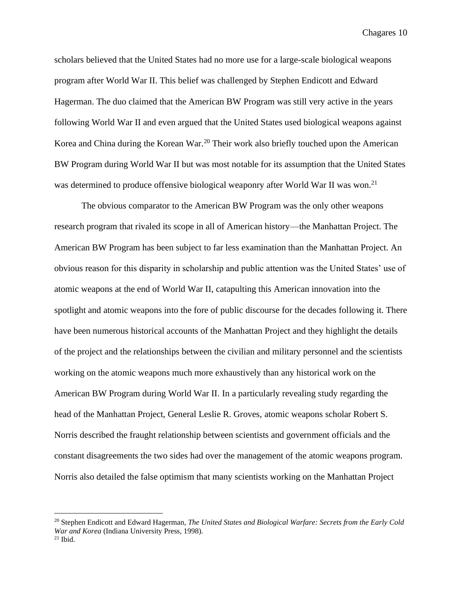scholars believed that the United States had no more use for a large-scale biological weapons program after World War II. This belief was challenged by Stephen Endicott and Edward Hagerman. The duo claimed that the American BW Program was still very active in the years following World War II and even argued that the United States used biological weapons against Korea and China during the Korean War.<sup>20</sup> Their work also briefly touched upon the American BW Program during World War II but was most notable for its assumption that the United States was determined to produce offensive biological weaponry after World War II was won.<sup>21</sup>

The obvious comparator to the American BW Program was the only other weapons research program that rivaled its scope in all of American history—the Manhattan Project. The American BW Program has been subject to far less examination than the Manhattan Project. An obvious reason for this disparity in scholarship and public attention was the United States' use of atomic weapons at the end of World War II, catapulting this American innovation into the spotlight and atomic weapons into the fore of public discourse for the decades following it. There have been numerous historical accounts of the Manhattan Project and they highlight the details of the project and the relationships between the civilian and military personnel and the scientists working on the atomic weapons much more exhaustively than any historical work on the American BW Program during World War II. In a particularly revealing study regarding the head of the Manhattan Project, General Leslie R. Groves, atomic weapons scholar Robert S. Norris described the fraught relationship between scientists and government officials and the constant disagreements the two sides had over the management of the atomic weapons program. Norris also detailed the false optimism that many scientists working on the Manhattan Project

<sup>20</sup> Stephen Endicott and Edward Hagerman, *The United States and Biological Warfare: Secrets from the Early Cold War and Korea* (Indiana University Press, 1998).

 $21$  Ibid.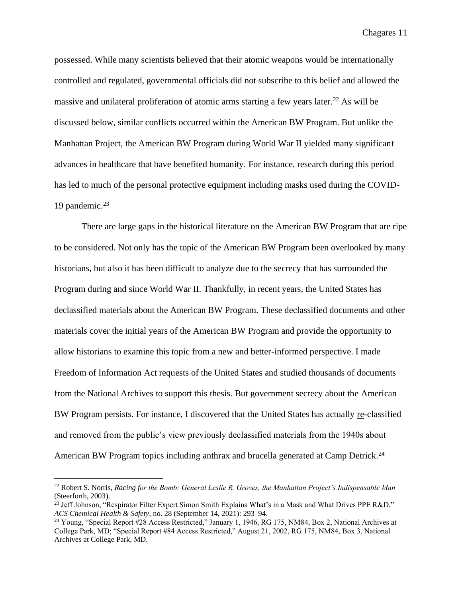possessed. While many scientists believed that their atomic weapons would be internationally controlled and regulated, governmental officials did not subscribe to this belief and allowed the massive and unilateral proliferation of atomic arms starting a few years later.<sup>22</sup> As will be discussed below, similar conflicts occurred within the American BW Program. But unlike the Manhattan Project, the American BW Program during World War II yielded many significant advances in healthcare that have benefited humanity. For instance, research during this period has led to much of the personal protective equipment including masks used during the COVID-19 pandemic. $23$ 

There are large gaps in the historical literature on the American BW Program that are ripe to be considered. Not only has the topic of the American BW Program been overlooked by many historians, but also it has been difficult to analyze due to the secrecy that has surrounded the Program during and since World War II. Thankfully, in recent years, the United States has declassified materials about the American BW Program. These declassified documents and other materials cover the initial years of the American BW Program and provide the opportunity to allow historians to examine this topic from a new and better-informed perspective. I made Freedom of Information Act requests of the United States and studied thousands of documents from the National Archives to support this thesis. But government secrecy about the American BW Program persists. For instance, I discovered that the United States has actually re-classified and removed from the public's view previously declassified materials from the 1940s about American BW Program topics including anthrax and brucella generated at Camp Detrick.<sup>24</sup>

<sup>22</sup> Robert S. Norris, *Racing for the Bomb: General Leslie R. Groves, the Manhattan Project's Indispensable Man* (Steerforth, 2003).

<sup>&</sup>lt;sup>23</sup> Jeff Johnson, "Respirator Filter Expert Simon Smith Explains What's in a Mask and What Drives PPE R&D," *ACS Chemical Health & Safety*, no. 28 (September 14, 2021): 293–94.

<sup>&</sup>lt;sup>24</sup> Young, "Special Report #28 Access Restricted," January 1, 1946, RG 175, NM84, Box 2, National Archives at College Park, MD; "Special Report #84 Access Restricted," August 21, 2002, RG 175, NM84, Box 3, National Archives at College Park, MD.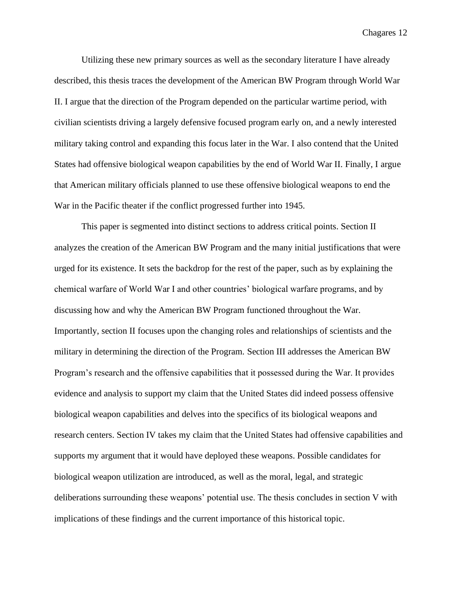Utilizing these new primary sources as well as the secondary literature I have already described, this thesis traces the development of the American BW Program through World War II. I argue that the direction of the Program depended on the particular wartime period, with civilian scientists driving a largely defensive focused program early on, and a newly interested military taking control and expanding this focus later in the War. I also contend that the United States had offensive biological weapon capabilities by the end of World War II. Finally, I argue that American military officials planned to use these offensive biological weapons to end the War in the Pacific theater if the conflict progressed further into 1945.

This paper is segmented into distinct sections to address critical points. Section II analyzes the creation of the American BW Program and the many initial justifications that were urged for its existence. It sets the backdrop for the rest of the paper, such as by explaining the chemical warfare of World War I and other countries' biological warfare programs, and by discussing how and why the American BW Program functioned throughout the War. Importantly, section II focuses upon the changing roles and relationships of scientists and the military in determining the direction of the Program. Section III addresses the American BW Program's research and the offensive capabilities that it possessed during the War. It provides evidence and analysis to support my claim that the United States did indeed possess offensive biological weapon capabilities and delves into the specifics of its biological weapons and research centers. Section IV takes my claim that the United States had offensive capabilities and supports my argument that it would have deployed these weapons. Possible candidates for biological weapon utilization are introduced, as well as the moral, legal, and strategic deliberations surrounding these weapons' potential use. The thesis concludes in section V with implications of these findings and the current importance of this historical topic.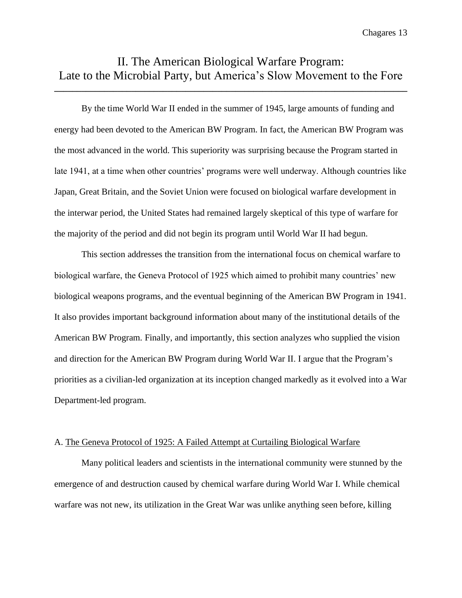### II. The American Biological Warfare Program: Late to the Microbial Party, but America's Slow Movement to the Fore

**\_\_\_\_\_\_\_\_\_\_\_\_\_\_\_\_\_\_\_\_\_\_\_\_\_\_\_\_\_\_\_\_\_\_\_\_\_\_\_\_\_\_\_\_\_\_\_\_\_\_\_\_\_\_\_\_\_\_\_\_\_\_\_\_\_\_\_\_\_\_\_\_\_\_\_\_\_\_**

By the time World War II ended in the summer of 1945, large amounts of funding and energy had been devoted to the American BW Program. In fact, the American BW Program was the most advanced in the world. This superiority was surprising because the Program started in late 1941, at a time when other countries' programs were well underway. Although countries like Japan, Great Britain, and the Soviet Union were focused on biological warfare development in the interwar period, the United States had remained largely skeptical of this type of warfare for the majority of the period and did not begin its program until World War II had begun.

This section addresses the transition from the international focus on chemical warfare to biological warfare, the Geneva Protocol of 1925 which aimed to prohibit many countries' new biological weapons programs, and the eventual beginning of the American BW Program in 1941. It also provides important background information about many of the institutional details of the American BW Program. Finally, and importantly, this section analyzes who supplied the vision and direction for the American BW Program during World War II. I argue that the Program's priorities as a civilian-led organization at its inception changed markedly as it evolved into a War Department-led program.

#### A. The Geneva Protocol of 1925: A Failed Attempt at Curtailing Biological Warfare

Many political leaders and scientists in the international community were stunned by the emergence of and destruction caused by chemical warfare during World War I. While chemical warfare was not new, its utilization in the Great War was unlike anything seen before, killing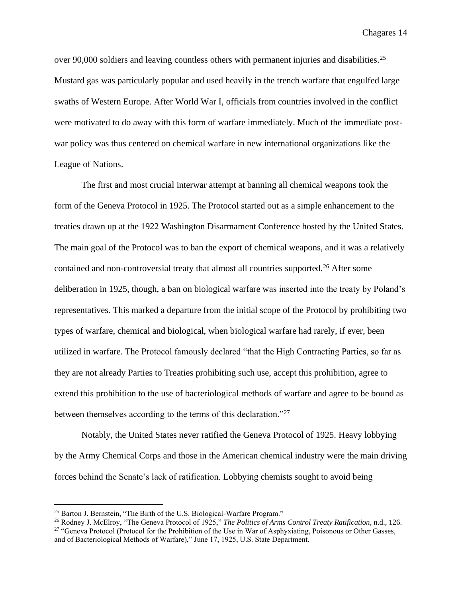over 90,000 soldiers and leaving countless others with permanent injuries and disabilities.<sup>25</sup> Mustard gas was particularly popular and used heavily in the trench warfare that engulfed large swaths of Western Europe. After World War I, officials from countries involved in the conflict were motivated to do away with this form of warfare immediately. Much of the immediate postwar policy was thus centered on chemical warfare in new international organizations like the League of Nations.

The first and most crucial interwar attempt at banning all chemical weapons took the form of the Geneva Protocol in 1925. The Protocol started out as a simple enhancement to the treaties drawn up at the 1922 Washington Disarmament Conference hosted by the United States. The main goal of the Protocol was to ban the export of chemical weapons, and it was a relatively contained and non-controversial treaty that almost all countries supported.<sup>26</sup> After some deliberation in 1925, though, a ban on biological warfare was inserted into the treaty by Poland's representatives. This marked a departure from the initial scope of the Protocol by prohibiting two types of warfare, chemical and biological, when biological warfare had rarely, if ever, been utilized in warfare. The Protocol famously declared "that the High Contracting Parties, so far as they are not already Parties to Treaties prohibiting such use, accept this prohibition, agree to extend this prohibition to the use of bacteriological methods of warfare and agree to be bound as between themselves according to the terms of this declaration."<sup>27</sup>

Notably, the United States never ratified the Geneva Protocol of 1925. Heavy lobbying by the Army Chemical Corps and those in the American chemical industry were the main driving forces behind the Senate's lack of ratification. Lobbying chemists sought to avoid being

<sup>&</sup>lt;sup>25</sup> Barton J. Bernstein, "The Birth of the U.S. Biological-Warfare Program."

<sup>26</sup> Rodney J. McElroy, "The Geneva Protocol of 1925," *The Politics of Arms Control Treaty Ratification*, n.d., 126. <sup>27</sup> "Geneva Protocol (Protocol for the Prohibition of the Use in War of Asphyxiating, Poisonous or Other Gasses, and of Bacteriological Methods of Warfare)," June 17, 1925, U.S. State Department.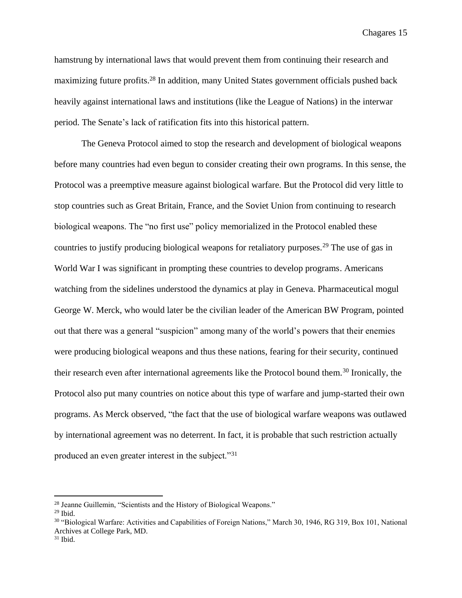hamstrung by international laws that would prevent them from continuing their research and maximizing future profits.<sup>28</sup> In addition, many United States government officials pushed back heavily against international laws and institutions (like the League of Nations) in the interwar period. The Senate's lack of ratification fits into this historical pattern.

The Geneva Protocol aimed to stop the research and development of biological weapons before many countries had even begun to consider creating their own programs. In this sense, the Protocol was a preemptive measure against biological warfare. But the Protocol did very little to stop countries such as Great Britain, France, and the Soviet Union from continuing to research biological weapons. The "no first use" policy memorialized in the Protocol enabled these countries to justify producing biological weapons for retaliatory purposes.<sup>29</sup> The use of gas in World War I was significant in prompting these countries to develop programs. Americans watching from the sidelines understood the dynamics at play in Geneva. Pharmaceutical mogul George W. Merck, who would later be the civilian leader of the American BW Program, pointed out that there was a general "suspicion" among many of the world's powers that their enemies were producing biological weapons and thus these nations, fearing for their security, continued their research even after international agreements like the Protocol bound them.<sup>30</sup> Ironically, the Protocol also put many countries on notice about this type of warfare and jump-started their own programs. As Merck observed, "the fact that the use of biological warfare weapons was outlawed by international agreement was no deterrent. In fact, it is probable that such restriction actually produced an even greater interest in the subject."<sup>31</sup>

<sup>28</sup> Jeanne Guillemin, "Scientists and the History of Biological Weapons."

 $29$  Ibid.

<sup>30</sup> "Biological Warfare: Activities and Capabilities of Foreign Nations," March 30, 1946, RG 319, Box 101, National Archives at College Park, MD.

 $31$  Ibid.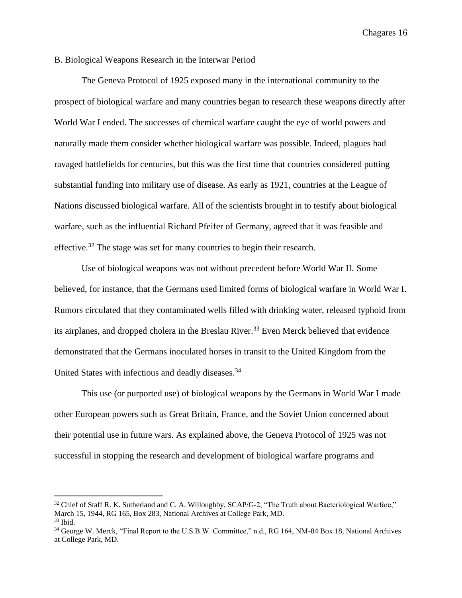#### B. Biological Weapons Research in the Interwar Period

The Geneva Protocol of 1925 exposed many in the international community to the prospect of biological warfare and many countries began to research these weapons directly after World War I ended. The successes of chemical warfare caught the eye of world powers and naturally made them consider whether biological warfare was possible. Indeed, plagues had ravaged battlefields for centuries, but this was the first time that countries considered putting substantial funding into military use of disease. As early as 1921, countries at the League of Nations discussed biological warfare. All of the scientists brought in to testify about biological warfare, such as the influential Richard Pfeifer of Germany, agreed that it was feasible and effective.<sup>32</sup> The stage was set for many countries to begin their research.

Use of biological weapons was not without precedent before World War II. Some believed, for instance, that the Germans used limited forms of biological warfare in World War I. Rumors circulated that they contaminated wells filled with drinking water, released typhoid from its airplanes, and dropped cholera in the Breslau River.<sup>33</sup> Even Merck believed that evidence demonstrated that the Germans inoculated horses in transit to the United Kingdom from the United States with infectious and deadly diseases.<sup>34</sup>

This use (or purported use) of biological weapons by the Germans in World War I made other European powers such as Great Britain, France, and the Soviet Union concerned about their potential use in future wars. As explained above, the Geneva Protocol of 1925 was not successful in stopping the research and development of biological warfare programs and

<sup>&</sup>lt;sup>32</sup> Chief of Staff R. K. Sutherland and C. A. Willoughby, SCAP/G-2, "The Truth about Bacteriological Warfare," March 15, 1944, RG 165, Box 283, National Archives at College Park, MD.  $33$  Ibid.

<sup>34</sup> George W. Merck, "Final Report to the U.S.B.W. Committee," n.d., RG 164, NM-84 Box 18, National Archives at College Park, MD.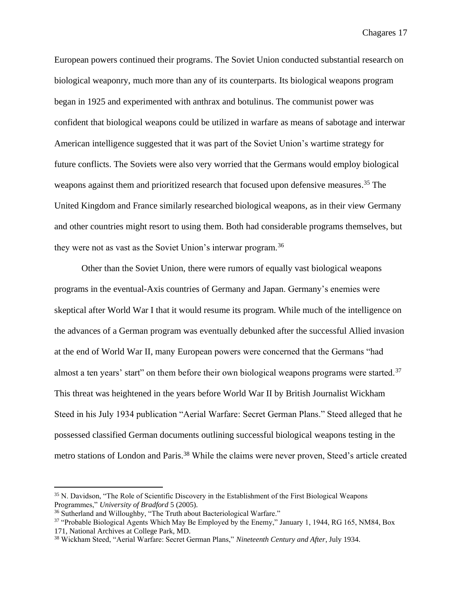European powers continued their programs. The Soviet Union conducted substantial research on biological weaponry, much more than any of its counterparts. Its biological weapons program began in 1925 and experimented with anthrax and botulinus. The communist power was confident that biological weapons could be utilized in warfare as means of sabotage and interwar American intelligence suggested that it was part of the Soviet Union's wartime strategy for future conflicts. The Soviets were also very worried that the Germans would employ biological weapons against them and prioritized research that focused upon defensive measures. <sup>35</sup> The United Kingdom and France similarly researched biological weapons, as in their view Germany and other countries might resort to using them. Both had considerable programs themselves, but they were not as vast as the Soviet Union's interwar program.<sup>36</sup>

Other than the Soviet Union, there were rumors of equally vast biological weapons programs in the eventual-Axis countries of Germany and Japan. Germany's enemies were skeptical after World War I that it would resume its program. While much of the intelligence on the advances of a German program was eventually debunked after the successful Allied invasion at the end of World War II, many European powers were concerned that the Germans "had almost a ten years' start" on them before their own biological weapons programs were started.<sup>37</sup> This threat was heightened in the years before World War II by British Journalist Wickham Steed in his July 1934 publication "Aerial Warfare: Secret German Plans." Steed alleged that he possessed classified German documents outlining successful biological weapons testing in the metro stations of London and Paris.<sup>38</sup> While the claims were never proven, Steed's article created

<sup>35</sup> N. Davidson, "The Role of Scientific Discovery in the Establishment of the First Biological Weapons Programmes," *University of Bradford* 5 (2005).

<sup>&</sup>lt;sup>36</sup> Sutherland and Willoughby, "The Truth about Bacteriological Warfare."

<sup>&</sup>lt;sup>37</sup> "Probable Biological Agents Which May Be Employed by the Enemy," January 1, 1944, RG 165, NM84, Box 171, National Archives at College Park, MD.

<sup>38</sup> Wickham Steed, "Aerial Warfare: Secret German Plans," *Nineteenth Century and After*, July 1934.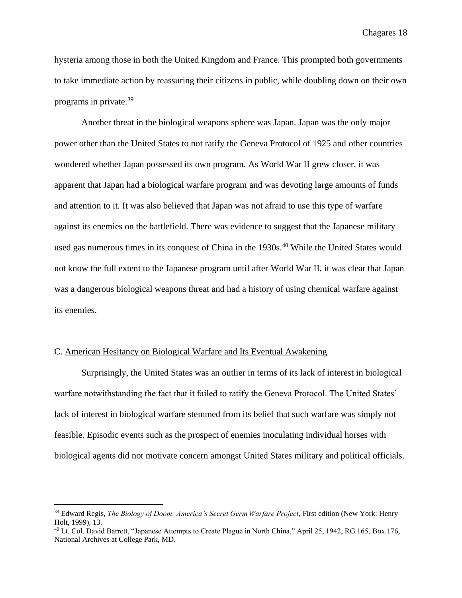hysteria among those in both the United Kingdom and France. This prompted both governments to take immediate action by reassuring their citizens in public, while doubling down on their own programs in private.<sup>39</sup>

Another threat in the biological weapons sphere was Japan. Japan was the only major power other than the United States to not ratify the Geneva Protocol of 1925 and other countries wondered whether Japan possessed its own program. As World War II grew closer, it was apparent that Japan had a biological warfare program and was devoting large amounts of funds and attention to it. It was also believed that Japan was not afraid to use this type of warfare against its enemies on the battlefield. There was evidence to suggest that the Japanese military used gas numerous times in its conquest of China in the 1930s.<sup>40</sup> While the United States would not know the full extent to the Japanese program until after World War II, it was clear that Japan was a dangerous biological weapons threat and had a history of using chemical warfare against its enemies.

#### C. American Hesitancy on Biological Warfare and Its Eventual Awakening

Surprisingly, the United States was an outlier in terms of its lack of interest in biological warfare notwithstanding the fact that it failed to ratify the Geneva Protocol. The United States' lack of interest in biological warfare stemmed from its belief that such warfare was simply not feasible. Episodic events such as the prospect of enemies inoculating individual horses with biological agents did not motivate concern amongst United States military and political officials.

<sup>39</sup> Edward Regis, *The Biology of Doom: America's Secret Germ Warfare Project*, First edition (New York: Henry Holt, 1999), 13.

<sup>&</sup>lt;sup>40</sup> Lt. Col. David Barrett, "Japanese Attempts to Create Plague in North China," April 25, 1942, RG 165, Box 176, National Archives at College Park, MD.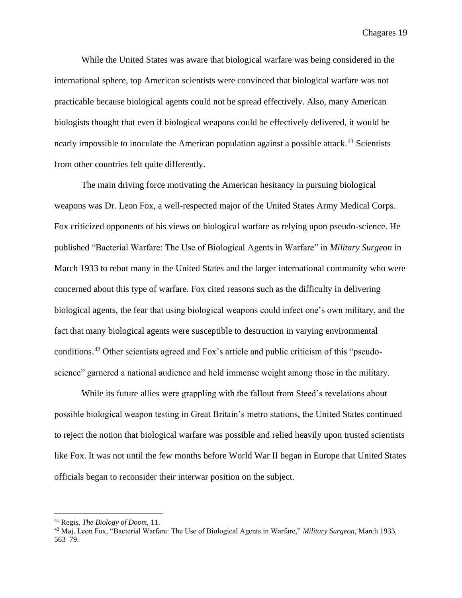While the United States was aware that biological warfare was being considered in the international sphere, top American scientists were convinced that biological warfare was not practicable because biological agents could not be spread effectively. Also, many American biologists thought that even if biological weapons could be effectively delivered, it would be nearly impossible to inoculate the American population against a possible attack.<sup>41</sup> Scientists from other countries felt quite differently.

The main driving force motivating the American hesitancy in pursuing biological weapons was Dr. Leon Fox, a well-respected major of the United States Army Medical Corps. Fox criticized opponents of his views on biological warfare as relying upon pseudo-science. He published "Bacterial Warfare: The Use of Biological Agents in Warfare" in *Military Surgeon* in March 1933 to rebut many in the United States and the larger international community who were concerned about this type of warfare. Fox cited reasons such as the difficulty in delivering biological agents, the fear that using biological weapons could infect one's own military, and the fact that many biological agents were susceptible to destruction in varying environmental conditions.<sup>42</sup> Other scientists agreed and Fox's article and public criticism of this "pseudoscience" garnered a national audience and held immense weight among those in the military.

While its future allies were grappling with the fallout from Steed's revelations about possible biological weapon testing in Great Britain's metro stations, the United States continued to reject the notion that biological warfare was possible and relied heavily upon trusted scientists like Fox. It was not until the few months before World War II began in Europe that United States officials began to reconsider their interwar position on the subject.

<sup>41</sup> Regis, *The Biology of Doom*, 11.

<sup>42</sup> Maj. Leon Fox, "Bacterial Warfare: The Use of Biological Agents in Warfare," *Military Surgeon*, March 1933, 563–79.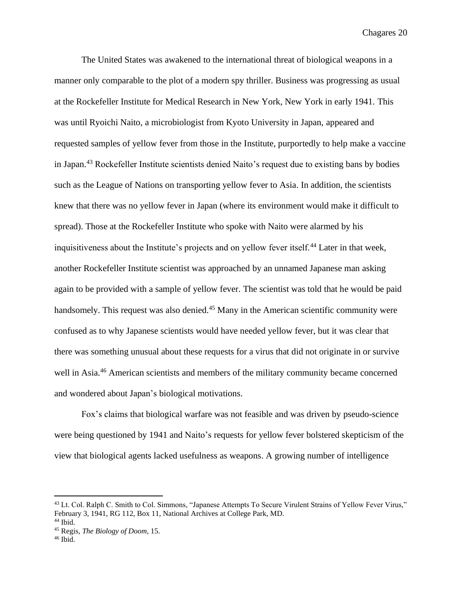The United States was awakened to the international threat of biological weapons in a manner only comparable to the plot of a modern spy thriller. Business was progressing as usual at the Rockefeller Institute for Medical Research in New York, New York in early 1941. This was until Ryoichi Naito, a microbiologist from Kyoto University in Japan, appeared and requested samples of yellow fever from those in the Institute, purportedly to help make a vaccine in Japan.<sup>43</sup> Rockefeller Institute scientists denied Naito's request due to existing bans by bodies such as the League of Nations on transporting yellow fever to Asia. In addition, the scientists knew that there was no yellow fever in Japan (where its environment would make it difficult to spread). Those at the Rockefeller Institute who spoke with Naito were alarmed by his inquisitiveness about the Institute's projects and on yellow fever itself.<sup>44</sup> Later in that week, another Rockefeller Institute scientist was approached by an unnamed Japanese man asking again to be provided with a sample of yellow fever. The scientist was told that he would be paid handsomely. This request was also denied.<sup>45</sup> Many in the American scientific community were confused as to why Japanese scientists would have needed yellow fever, but it was clear that there was something unusual about these requests for a virus that did not originate in or survive well in Asia.<sup>46</sup> American scientists and members of the military community became concerned and wondered about Japan's biological motivations.

Fox's claims that biological warfare was not feasible and was driven by pseudo-science were being questioned by 1941 and Naito's requests for yellow fever bolstered skepticism of the view that biological agents lacked usefulness as weapons. A growing number of intelligence

<sup>&</sup>lt;sup>43</sup> Lt. Col. Ralph C. Smith to Col. Simmons, "Japanese Attempts To Secure Virulent Strains of Yellow Fever Virus," February 3, 1941, RG 112, Box 11, National Archives at College Park, MD. <sup>44</sup> Ibid.

<sup>45</sup> Regis, *The Biology of Doom*, 15.

 $46$  Ibid.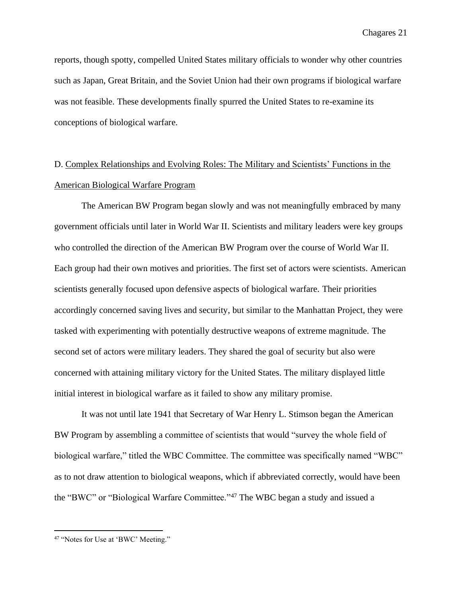reports, though spotty, compelled United States military officials to wonder why other countries such as Japan, Great Britain, and the Soviet Union had their own programs if biological warfare was not feasible. These developments finally spurred the United States to re-examine its conceptions of biological warfare.

# D. Complex Relationships and Evolving Roles: The Military and Scientists' Functions in the American Biological Warfare Program

The American BW Program began slowly and was not meaningfully embraced by many government officials until later in World War II. Scientists and military leaders were key groups who controlled the direction of the American BW Program over the course of World War II. Each group had their own motives and priorities. The first set of actors were scientists. American scientists generally focused upon defensive aspects of biological warfare. Their priorities accordingly concerned saving lives and security, but similar to the Manhattan Project, they were tasked with experimenting with potentially destructive weapons of extreme magnitude. The second set of actors were military leaders. They shared the goal of security but also were concerned with attaining military victory for the United States. The military displayed little initial interest in biological warfare as it failed to show any military promise.

It was not until late 1941 that Secretary of War Henry L. Stimson began the American BW Program by assembling a committee of scientists that would "survey the whole field of biological warfare," titled the WBC Committee. The committee was specifically named "WBC" as to not draw attention to biological weapons, which if abbreviated correctly, would have been the "BWC" or "Biological Warfare Committee."<sup>47</sup> The WBC began a study and issued a

<sup>&</sup>lt;sup>47</sup> "Notes for Use at 'BWC' Meeting."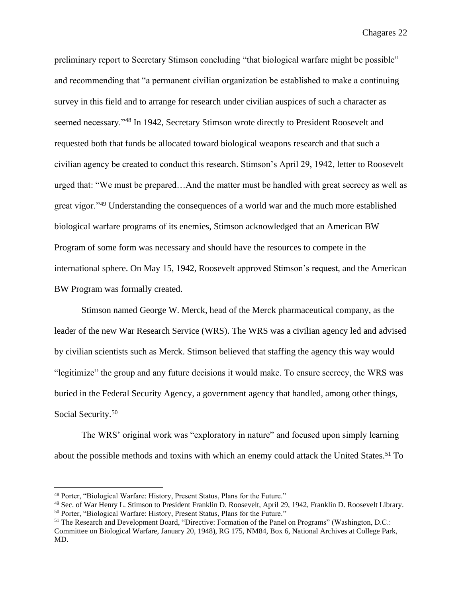preliminary report to Secretary Stimson concluding "that biological warfare might be possible" and recommending that "a permanent civilian organization be established to make a continuing survey in this field and to arrange for research under civilian auspices of such a character as seemed necessary."<sup>48</sup> In 1942, Secretary Stimson wrote directly to President Roosevelt and requested both that funds be allocated toward biological weapons research and that such a civilian agency be created to conduct this research. Stimson's April 29, 1942, letter to Roosevelt urged that: "We must be prepared…And the matter must be handled with great secrecy as well as great vigor."<sup>49</sup> Understanding the consequences of a world war and the much more established biological warfare programs of its enemies, Stimson acknowledged that an American BW Program of some form was necessary and should have the resources to compete in the international sphere. On May 15, 1942, Roosevelt approved Stimson's request, and the American BW Program was formally created.

Stimson named George W. Merck, head of the Merck pharmaceutical company, as the leader of the new War Research Service (WRS). The WRS was a civilian agency led and advised by civilian scientists such as Merck. Stimson believed that staffing the agency this way would "legitimize" the group and any future decisions it would make. To ensure secrecy, the WRS was buried in the Federal Security Agency, a government agency that handled, among other things, Social Security.<sup>50</sup>

The WRS' original work was "exploratory in nature" and focused upon simply learning about the possible methods and toxins with which an enemy could attack the United States. <sup>51</sup> To

<sup>48</sup> Porter, "Biological Warfare: History, Present Status, Plans for the Future."

<sup>49</sup> Sec. of War Henry L. Stimson to President Franklin D. Roosevelt, April 29, 1942, Franklin D. Roosevelt Library. <sup>50</sup> Porter, "Biological Warfare: History, Present Status, Plans for the Future."

<sup>51</sup> The Research and Development Board, "Directive: Formation of the Panel on Programs" (Washington, D.C.: Committee on Biological Warfare, January 20, 1948), RG 175, NM84, Box 6, National Archives at College Park, MD.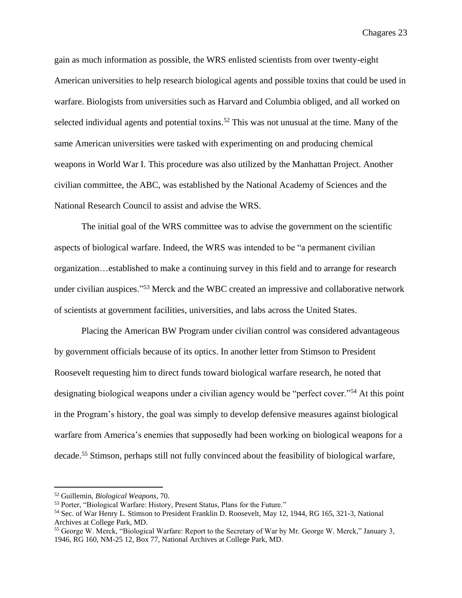gain as much information as possible, the WRS enlisted scientists from over twenty-eight American universities to help research biological agents and possible toxins that could be used in warfare. Biologists from universities such as Harvard and Columbia obliged, and all worked on selected individual agents and potential toxins.<sup>52</sup> This was not unusual at the time. Many of the same American universities were tasked with experimenting on and producing chemical weapons in World War I. This procedure was also utilized by the Manhattan Project. Another civilian committee, the ABC, was established by the National Academy of Sciences and the National Research Council to assist and advise the WRS.

The initial goal of the WRS committee was to advise the government on the scientific aspects of biological warfare. Indeed, the WRS was intended to be "a permanent civilian organization…established to make a continuing survey in this field and to arrange for research under civilian auspices."<sup>53</sup> Merck and the WBC created an impressive and collaborative network of scientists at government facilities, universities, and labs across the United States.

Placing the American BW Program under civilian control was considered advantageous by government officials because of its optics. In another letter from Stimson to President Roosevelt requesting him to direct funds toward biological warfare research, he noted that designating biological weapons under a civilian agency would be "perfect cover."<sup>54</sup> At this point in the Program's history, the goal was simply to develop defensive measures against biological warfare from America's enemies that supposedly had been working on biological weapons for a decade.<sup>55</sup> Stimson, perhaps still not fully convinced about the feasibility of biological warfare,

<sup>52</sup> Guillemin, *Biological Weapons,* 70.

<sup>53</sup> Porter, "Biological Warfare: History, Present Status, Plans for the Future."

<sup>54</sup> Sec. of War Henry L. Stimson to President Franklin D. Roosevelt, May 12, 1944, RG 165, 321-3, National Archives at College Park, MD.

<sup>55</sup> George W. Merck, "Biological Warfare: Report to the Secretary of War by Mr. George W. Merck," January 3, 1946, RG 160, NM-25 12, Box 77, National Archives at College Park, MD.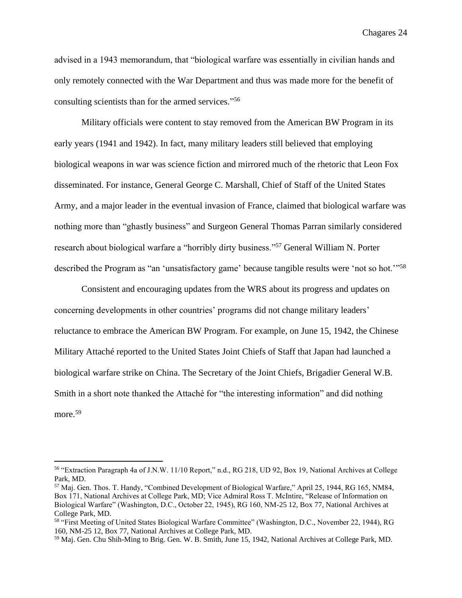advised in a 1943 memorandum, that "biological warfare was essentially in civilian hands and only remotely connected with the War Department and thus was made more for the benefit of consulting scientists than for the armed services." 56

Military officials were content to stay removed from the American BW Program in its early years (1941 and 1942). In fact, many military leaders still believed that employing biological weapons in war was science fiction and mirrored much of the rhetoric that Leon Fox disseminated. For instance, General George C. Marshall, Chief of Staff of the United States Army, and a major leader in the eventual invasion of France, claimed that biological warfare was nothing more than "ghastly business" and Surgeon General Thomas Parran similarly considered research about biological warfare a "horribly dirty business."<sup>57</sup> General William N. Porter described the Program as "an 'unsatisfactory game' because tangible results were 'not so hot."<sup>58</sup>

Consistent and encouraging updates from the WRS about its progress and updates on concerning developments in other countries' programs did not change military leaders' reluctance to embrace the American BW Program. For example, on June 15, 1942, the Chinese Military Attaché reported to the United States Joint Chiefs of Staff that Japan had launched a biological warfare strike on China. The Secretary of the Joint Chiefs, Brigadier General W.B. Smith in a short note thanked the Attaché for "the interesting information" and did nothing more.<sup>59</sup>

<sup>56</sup> "Extraction Paragraph 4a of J.N.W. 11/10 Report," n.d., RG 218, UD 92, Box 19, National Archives at College Park, MD.

<sup>57</sup> Maj. Gen. Thos. T. Handy, "Combined Development of Biological Warfare," April 25, 1944, RG 165, NM84, Box 171, National Archives at College Park, MD; Vice Admiral Ross T. McIntire, "Release of Information on Biological Warfare" (Washington, D.C., October 22, 1945), RG 160, NM-25 12, Box 77, National Archives at College Park, MD.

<sup>58</sup> "First Meeting of United States Biological Warfare Committee" (Washington, D.C., November 22, 1944), RG 160, NM-25 12, Box 77, National Archives at College Park, MD.

<sup>59</sup> Maj. Gen. Chu Shih-Ming to Brig. Gen. W. B. Smith, June 15, 1942, National Archives at College Park, MD.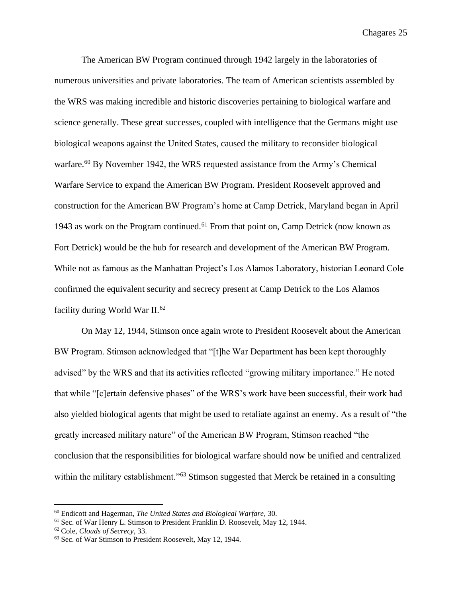The American BW Program continued through 1942 largely in the laboratories of numerous universities and private laboratories. The team of American scientists assembled by the WRS was making incredible and historic discoveries pertaining to biological warfare and science generally. These great successes, coupled with intelligence that the Germans might use biological weapons against the United States, caused the military to reconsider biological warfare.<sup>60</sup> By November 1942, the WRS requested assistance from the Army's Chemical Warfare Service to expand the American BW Program. President Roosevelt approved and construction for the American BW Program's home at Camp Detrick, Maryland began in April 1943 as work on the Program continued.<sup>61</sup> From that point on, Camp Detrick (now known as Fort Detrick) would be the hub for research and development of the American BW Program. While not as famous as the Manhattan Project's Los Alamos Laboratory, historian Leonard Cole confirmed the equivalent security and secrecy present at Camp Detrick to the Los Alamos facility during World War II.<sup>62</sup>

On May 12, 1944, Stimson once again wrote to President Roosevelt about the American BW Program. Stimson acknowledged that "[t]he War Department has been kept thoroughly advised" by the WRS and that its activities reflected "growing military importance." He noted that while "[c]ertain defensive phases" of the WRS's work have been successful, their work had also yielded biological agents that might be used to retaliate against an enemy. As a result of "the greatly increased military nature" of the American BW Program, Stimson reached "the conclusion that the responsibilities for biological warfare should now be unified and centralized within the military establishment."<sup>63</sup> Stimson suggested that Merck be retained in a consulting

<sup>60</sup> Endicott and Hagerman, *The United States and Biological Warfare*, 30.

<sup>61</sup> Sec. of War Henry L. Stimson to President Franklin D. Roosevelt, May 12, 1944.

<sup>62</sup> Cole, *Clouds of Secrecy*, 33.

<sup>63</sup> Sec. of War Stimson to President Roosevelt, May 12, 1944.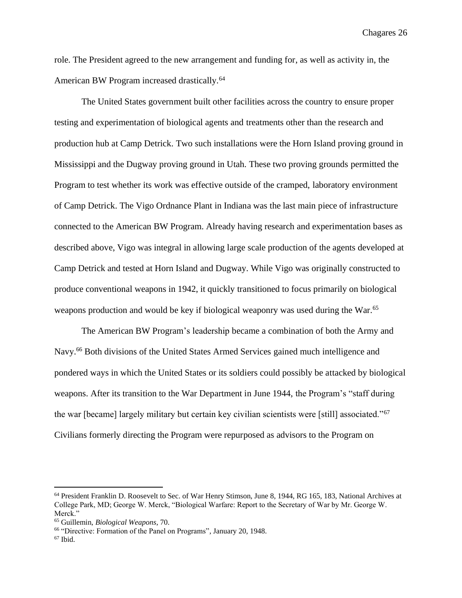role. The President agreed to the new arrangement and funding for, as well as activity in, the American BW Program increased drastically.<sup>64</sup>

The United States government built other facilities across the country to ensure proper testing and experimentation of biological agents and treatments other than the research and production hub at Camp Detrick. Two such installations were the Horn Island proving ground in Mississippi and the Dugway proving ground in Utah. These two proving grounds permitted the Program to test whether its work was effective outside of the cramped, laboratory environment of Camp Detrick. The Vigo Ordnance Plant in Indiana was the last main piece of infrastructure connected to the American BW Program. Already having research and experimentation bases as described above, Vigo was integral in allowing large scale production of the agents developed at Camp Detrick and tested at Horn Island and Dugway. While Vigo was originally constructed to produce conventional weapons in 1942, it quickly transitioned to focus primarily on biological weapons production and would be key if biological weaponry was used during the War.<sup>65</sup>

The American BW Program's leadership became a combination of both the Army and Navy.<sup>66</sup> Both divisions of the United States Armed Services gained much intelligence and pondered ways in which the United States or its soldiers could possibly be attacked by biological weapons. After its transition to the War Department in June 1944, the Program's "staff during the war [became] largely military but certain key civilian scientists were [still] associated."<sup>67</sup> Civilians formerly directing the Program were repurposed as advisors to the Program on

<sup>64</sup> President Franklin D. Roosevelt to Sec. of War Henry Stimson, June 8, 1944, RG 165, 183, National Archives at College Park, MD; George W. Merck, "Biological Warfare: Report to the Secretary of War by Mr. George W. Merck."

<sup>65</sup> Guillemin, *Biological Weapons*, 70.

<sup>66</sup> "Directive: Formation of the Panel on Programs", January 20, 1948.

 $67$  Ibid.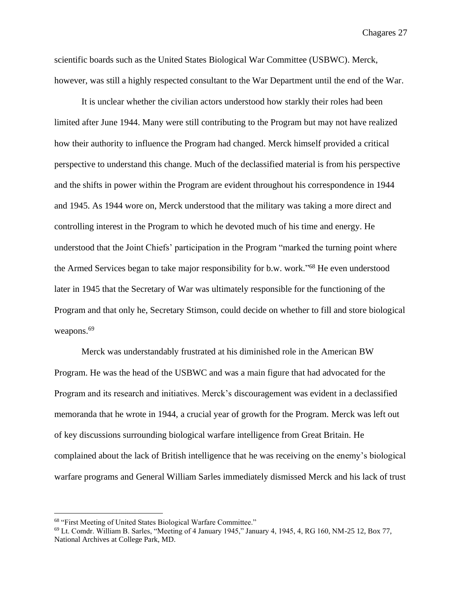scientific boards such as the United States Biological War Committee (USBWC). Merck, however, was still a highly respected consultant to the War Department until the end of the War.

It is unclear whether the civilian actors understood how starkly their roles had been limited after June 1944. Many were still contributing to the Program but may not have realized how their authority to influence the Program had changed. Merck himself provided a critical perspective to understand this change. Much of the declassified material is from his perspective and the shifts in power within the Program are evident throughout his correspondence in 1944 and 1945. As 1944 wore on, Merck understood that the military was taking a more direct and controlling interest in the Program to which he devoted much of his time and energy. He understood that the Joint Chiefs' participation in the Program "marked the turning point where the Armed Services began to take major responsibility for b.w. work." <sup>68</sup> He even understood later in 1945 that the Secretary of War was ultimately responsible for the functioning of the Program and that only he, Secretary Stimson, could decide on whether to fill and store biological weapons.<sup>69</sup>

Merck was understandably frustrated at his diminished role in the American BW Program. He was the head of the USBWC and was a main figure that had advocated for the Program and its research and initiatives. Merck's discouragement was evident in a declassified memoranda that he wrote in 1944, a crucial year of growth for the Program. Merck was left out of key discussions surrounding biological warfare intelligence from Great Britain. He complained about the lack of British intelligence that he was receiving on the enemy's biological warfare programs and General William Sarles immediately dismissed Merck and his lack of trust

<sup>68</sup> "First Meeting of United States Biological Warfare Committee."

 $69$  Lt. Comdr. William B. Sarles, "Meeting of 4 January 1945," January 4, 1945, 4, RG 160, NM-25 12, Box 77, National Archives at College Park, MD.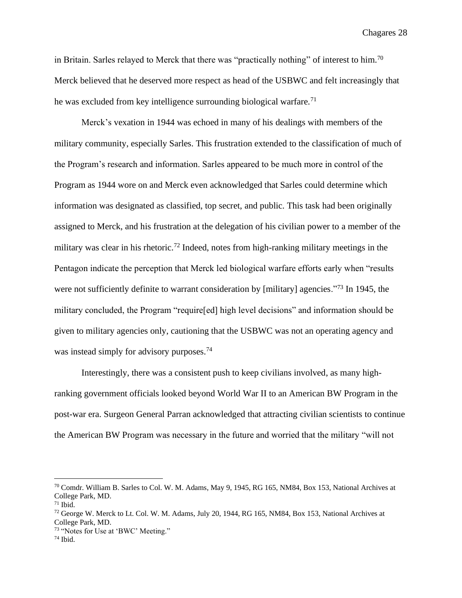in Britain. Sarles relayed to Merck that there was "practically nothing" of interest to him.<sup>70</sup> Merck believed that he deserved more respect as head of the USBWC and felt increasingly that he was excluded from key intelligence surrounding biological warfare.<sup>71</sup>

Merck's vexation in 1944 was echoed in many of his dealings with members of the military community, especially Sarles. This frustration extended to the classification of much of the Program's research and information. Sarles appeared to be much more in control of the Program as 1944 wore on and Merck even acknowledged that Sarles could determine which information was designated as classified, top secret, and public. This task had been originally assigned to Merck, and his frustration at the delegation of his civilian power to a member of the military was clear in his rhetoric.<sup>72</sup> Indeed, notes from high-ranking military meetings in the Pentagon indicate the perception that Merck led biological warfare efforts early when "results were not sufficiently definite to warrant consideration by [military] agencies."<sup>73</sup> In 1945, the military concluded, the Program "require[ed] high level decisions" and information should be given to military agencies only, cautioning that the USBWC was not an operating agency and was instead simply for advisory purposes.<sup>74</sup>

Interestingly, there was a consistent push to keep civilians involved, as many highranking government officials looked beyond World War II to an American BW Program in the post-war era. Surgeon General Parran acknowledged that attracting civilian scientists to continue the American BW Program was necessary in the future and worried that the military "will not

<sup>70</sup> Comdr. William B. Sarles to Col. W. M. Adams, May 9, 1945, RG 165, NM84, Box 153, National Archives at College Park, MD.

 $71$  Ibid.

<sup>72</sup> George W. Merck to Lt. Col. W. M. Adams, July 20, 1944, RG 165, NM84, Box 153, National Archives at College Park, MD.

<sup>73</sup> "Notes for Use at 'BWC' Meeting."

 $74$  Ibid.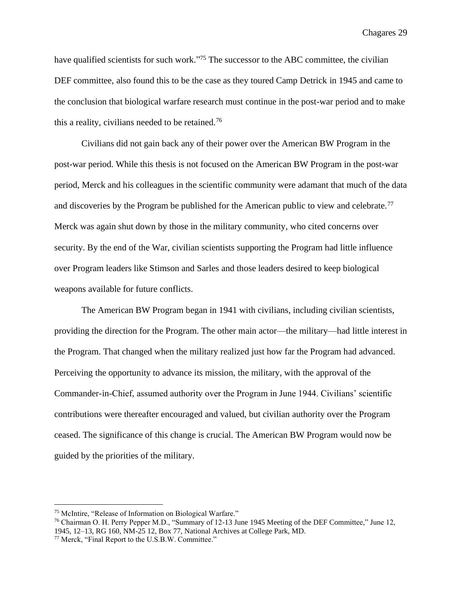have qualified scientists for such work."<sup>75</sup> The successor to the ABC committee, the civilian DEF committee, also found this to be the case as they toured Camp Detrick in 1945 and came to the conclusion that biological warfare research must continue in the post-war period and to make this a reality, civilians needed to be retained.<sup>76</sup>

Civilians did not gain back any of their power over the American BW Program in the post-war period. While this thesis is not focused on the American BW Program in the post-war period, Merck and his colleagues in the scientific community were adamant that much of the data and discoveries by the Program be published for the American public to view and celebrate.<sup>77</sup> Merck was again shut down by those in the military community, who cited concerns over security. By the end of the War, civilian scientists supporting the Program had little influence over Program leaders like Stimson and Sarles and those leaders desired to keep biological weapons available for future conflicts.

The American BW Program began in 1941 with civilians, including civilian scientists, providing the direction for the Program. The other main actor—the military—had little interest in the Program. That changed when the military realized just how far the Program had advanced. Perceiving the opportunity to advance its mission, the military, with the approval of the Commander-in-Chief, assumed authority over the Program in June 1944. Civilians' scientific contributions were thereafter encouraged and valued, but civilian authority over the Program ceased. The significance of this change is crucial. The American BW Program would now be guided by the priorities of the military.

<sup>75</sup> McIntire, "Release of Information on Biological Warfare."

<sup>76</sup> Chairman O. H. Perry Pepper M.D., "Summary of 12-13 June 1945 Meeting of the DEF Committee," June 12, 1945, 12–13, RG 160, NM-25 12, Box 77, National Archives at College Park, MD.

<sup>77</sup> Merck, "Final Report to the U.S.B.W. Committee."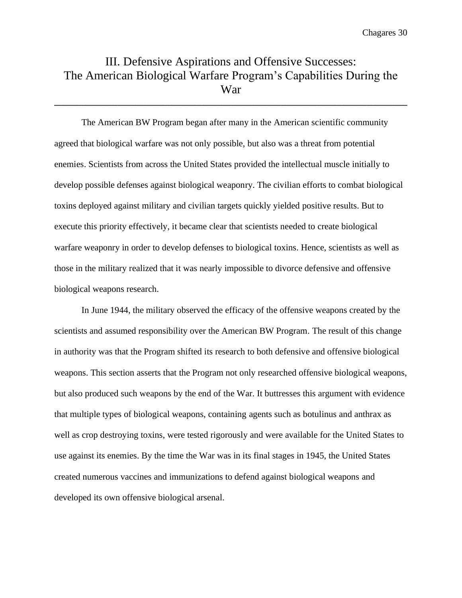# III. Defensive Aspirations and Offensive Successes: The American Biological Warfare Program's Capabilities During the War

**\_\_\_\_\_\_\_\_\_\_\_\_\_\_\_\_\_\_\_\_\_\_\_\_\_\_\_\_\_\_\_\_\_\_\_\_\_\_\_\_\_\_\_\_\_\_\_\_\_\_\_\_\_\_\_\_\_\_\_\_\_\_\_\_\_\_\_\_\_\_\_\_\_\_\_\_\_\_**

The American BW Program began after many in the American scientific community agreed that biological warfare was not only possible, but also was a threat from potential enemies. Scientists from across the United States provided the intellectual muscle initially to develop possible defenses against biological weaponry. The civilian efforts to combat biological toxins deployed against military and civilian targets quickly yielded positive results. But to execute this priority effectively, it became clear that scientists needed to create biological warfare weaponry in order to develop defenses to biological toxins. Hence, scientists as well as those in the military realized that it was nearly impossible to divorce defensive and offensive biological weapons research.

In June 1944, the military observed the efficacy of the offensive weapons created by the scientists and assumed responsibility over the American BW Program. The result of this change in authority was that the Program shifted its research to both defensive and offensive biological weapons. This section asserts that the Program not only researched offensive biological weapons, but also produced such weapons by the end of the War. It buttresses this argument with evidence that multiple types of biological weapons, containing agents such as botulinus and anthrax as well as crop destroying toxins, were tested rigorously and were available for the United States to use against its enemies. By the time the War was in its final stages in 1945, the United States created numerous vaccines and immunizations to defend against biological weapons and developed its own offensive biological arsenal.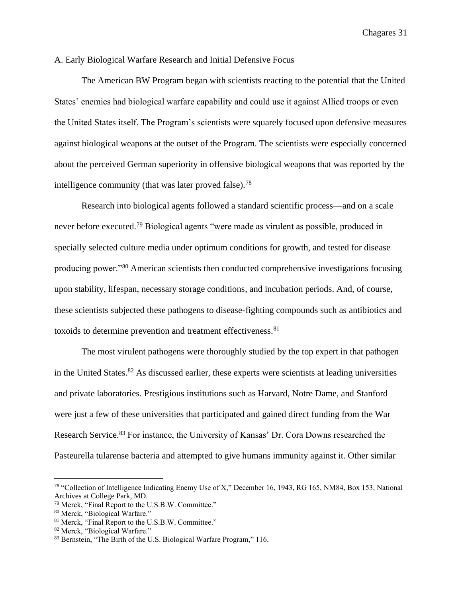#### A. Early Biological Warfare Research and Initial Defensive Focus

The American BW Program began with scientists reacting to the potential that the United States' enemies had biological warfare capability and could use it against Allied troops or even the United States itself. The Program's scientists were squarely focused upon defensive measures against biological weapons at the outset of the Program. The scientists were especially concerned about the perceived German superiority in offensive biological weapons that was reported by the intelligence community (that was later proved false).<sup>78</sup>

Research into biological agents followed a standard scientific process—and on a scale never before executed.<sup>79</sup> Biological agents "were made as virulent as possible, produced in specially selected culture media under optimum conditions for growth, and tested for disease producing power."<sup>80</sup> American scientists then conducted comprehensive investigations focusing upon stability, lifespan, necessary storage conditions, and incubation periods. And, of course, these scientists subjected these pathogens to disease-fighting compounds such as antibiotics and toxoids to determine prevention and treatment effectiveness.<sup>81</sup>

The most virulent pathogens were thoroughly studied by the top expert in that pathogen in the United States.<sup>82</sup> As discussed earlier, these experts were scientists at leading universities and private laboratories. Prestigious institutions such as Harvard, Notre Dame, and Stanford were just a few of these universities that participated and gained direct funding from the War Research Service.<sup>83</sup> For instance, the University of Kansas' Dr. Cora Downs researched the Pasteurella tularense bacteria and attempted to give humans immunity against it. Other similar

<sup>78</sup> "Collection of Intelligence Indicating Enemy Use of X," December 16, 1943, RG 165, NM84, Box 153, National Archives at College Park, MD.

<sup>79</sup> Merck, "Final Report to the U.S.B.W. Committee."

<sup>80</sup> Merck, "Biological Warfare."

<sup>81</sup> Merck, "Final Report to the U.S.B.W. Committee."

<sup>82</sup> Merck, "Biological Warfare."

<sup>&</sup>lt;sup>83</sup> Bernstein, "The Birth of the U.S. Biological Warfare Program," 116.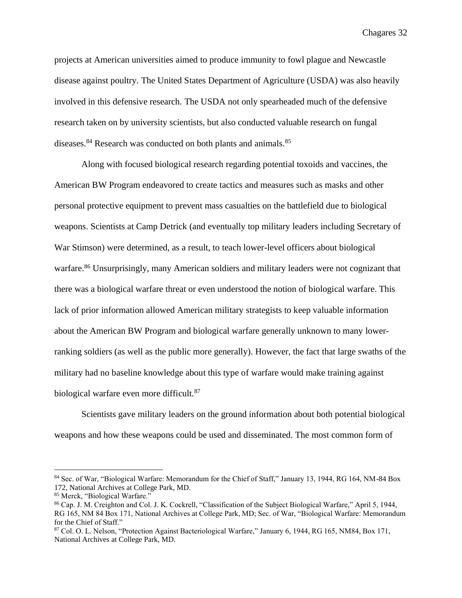projects at American universities aimed to produce immunity to fowl plague and Newcastle disease against poultry. The United States Department of Agriculture (USDA) was also heavily involved in this defensive research. The USDA not only spearheaded much of the defensive research taken on by university scientists, but also conducted valuable research on fungal diseases.<sup>84</sup> Research was conducted on both plants and animals.<sup>85</sup>

Along with focused biological research regarding potential toxoids and vaccines, the American BW Program endeavored to create tactics and measures such as masks and other personal protective equipment to prevent mass casualties on the battlefield due to biological weapons. Scientists at Camp Detrick (and eventually top military leaders including Secretary of War Stimson) were determined, as a result, to teach lower-level officers about biological warfare.<sup>86</sup> Unsurprisingly, many American soldiers and military leaders were not cognizant that there was a biological warfare threat or even understood the notion of biological warfare. This lack of prior information allowed American military strategists to keep valuable information about the American BW Program and biological warfare generally unknown to many lowerranking soldiers (as well as the public more generally). However, the fact that large swaths of the military had no baseline knowledge about this type of warfare would make training against biological warfare even more difficult.<sup>87</sup>

Scientists gave military leaders on the ground information about both potential biological weapons and how these weapons could be used and disseminated. The most common form of

<sup>84</sup> Sec. of War, "Biological Warfare: Memorandum for the Chief of Staff," January 13, 1944, RG 164, NM-84 Box 172, National Archives at College Park, MD.

<sup>85</sup> Merck, "Biological Warfare."

<sup>86</sup> Cap. J. M. Creighton and Col. J. K. Cockrell, "Classification of the Subject Biological Warfare," April 5, 1944, RG 165, NM 84 Box 171, National Archives at College Park, MD; Sec. of War, "Biological Warfare: Memorandum for the Chief of Staff."

<sup>87</sup> Col. O. L. Nelson, "Protection Against Bacteriological Warfare," January 6, 1944, RG 165, NM84, Box 171, National Archives at College Park, MD.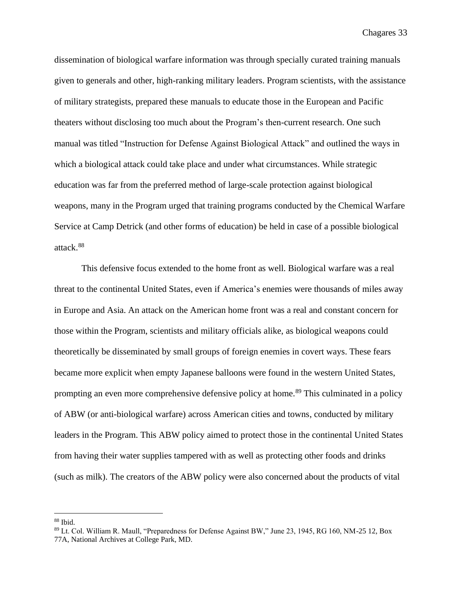dissemination of biological warfare information was through specially curated training manuals given to generals and other, high-ranking military leaders. Program scientists, with the assistance of military strategists, prepared these manuals to educate those in the European and Pacific theaters without disclosing too much about the Program's then-current research. One such manual was titled "Instruction for Defense Against Biological Attack" and outlined the ways in which a biological attack could take place and under what circumstances. While strategic education was far from the preferred method of large-scale protection against biological weapons, many in the Program urged that training programs conducted by the Chemical Warfare Service at Camp Detrick (and other forms of education) be held in case of a possible biological attack. 88

This defensive focus extended to the home front as well. Biological warfare was a real threat to the continental United States, even if America's enemies were thousands of miles away in Europe and Asia. An attack on the American home front was a real and constant concern for those within the Program, scientists and military officials alike, as biological weapons could theoretically be disseminated by small groups of foreign enemies in covert ways. These fears became more explicit when empty Japanese balloons were found in the western United States, prompting an even more comprehensive defensive policy at home.<sup>89</sup> This culminated in a policy of ABW (or anti-biological warfare) across American cities and towns, conducted by military leaders in the Program. This ABW policy aimed to protect those in the continental United States from having their water supplies tampered with as well as protecting other foods and drinks (such as milk). The creators of the ABW policy were also concerned about the products of vital

<sup>88</sup> Ibid.

<sup>89</sup> Lt. Col. William R. Maull, "Preparedness for Defense Against BW," June 23, 1945, RG 160, NM-25 12, Box 77A, National Archives at College Park, MD.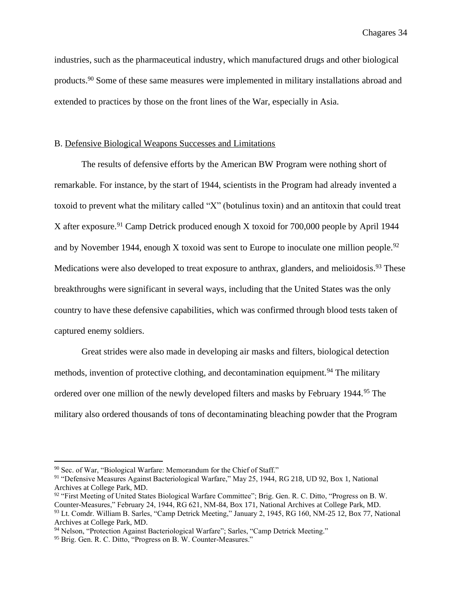industries, such as the pharmaceutical industry, which manufactured drugs and other biological products.<sup>90</sup> Some of these same measures were implemented in military installations abroad and extended to practices by those on the front lines of the War, especially in Asia.

#### B. Defensive Biological Weapons Successes and Limitations

The results of defensive efforts by the American BW Program were nothing short of remarkable. For instance, by the start of 1944, scientists in the Program had already invented a toxoid to prevent what the military called "X" (botulinus toxin) and an antitoxin that could treat X after exposure.<sup>91</sup> Camp Detrick produced enough X toxoid for 700,000 people by April 1944 and by November 1944, enough X toxoid was sent to Europe to inoculate one million people.<sup>92</sup> Medications were also developed to treat exposure to anthrax, glanders, and melioidosis.<sup>93</sup> These breakthroughs were significant in several ways, including that the United States was the only country to have these defensive capabilities, which was confirmed through blood tests taken of captured enemy soldiers.

Great strides were also made in developing air masks and filters, biological detection methods, invention of protective clothing, and decontamination equipment.<sup>94</sup> The military ordered over one million of the newly developed filters and masks by February 1944.<sup>95</sup> The military also ordered thousands of tons of decontaminating bleaching powder that the Program

<sup>90</sup> Sec. of War, "Biological Warfare: Memorandum for the Chief of Staff."

<sup>91 &</sup>quot;Defensive Measures Against Bacteriological Warfare," May 25, 1944, RG 218, UD 92, Box 1, National Archives at College Park, MD.

<sup>92</sup> "First Meeting of United States Biological Warfare Committee"; Brig. Gen. R. C. Ditto, "Progress on B. W. Counter-Measures," February 24, 1944, RG 621, NM-84, Box 171, National Archives at College Park, MD. <sup>93</sup> Lt. Comdr. William B. Sarles, "Camp Detrick Meeting," January 2, 1945, RG 160, NM-25 12, Box 77, National Archives at College Park, MD.

<sup>&</sup>lt;sup>94</sup> Nelson, "Protection Against Bacteriological Warfare"; Sarles, "Camp Detrick Meeting."

<sup>&</sup>lt;sup>95</sup> Brig. Gen. R. C. Ditto, "Progress on B. W. Counter-Measures."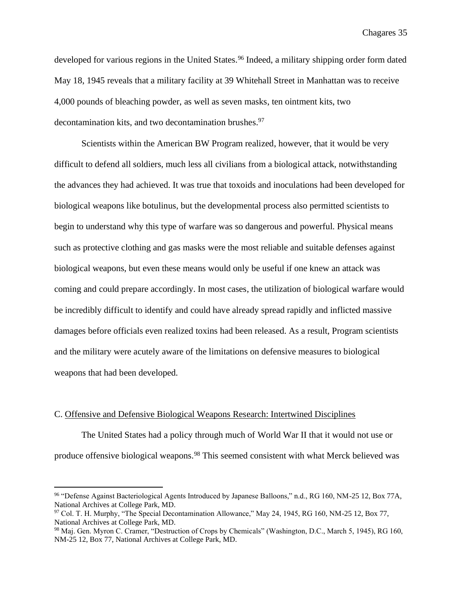developed for various regions in the United States.<sup>96</sup> Indeed, a military shipping order form dated May 18, 1945 reveals that a military facility at 39 Whitehall Street in Manhattan was to receive 4,000 pounds of bleaching powder, as well as seven masks, ten ointment kits, two decontamination kits, and two decontamination brushes. $97$ 

Scientists within the American BW Program realized, however, that it would be very difficult to defend all soldiers, much less all civilians from a biological attack, notwithstanding the advances they had achieved. It was true that toxoids and inoculations had been developed for biological weapons like botulinus, but the developmental process also permitted scientists to begin to understand why this type of warfare was so dangerous and powerful. Physical means such as protective clothing and gas masks were the most reliable and suitable defenses against biological weapons, but even these means would only be useful if one knew an attack was coming and could prepare accordingly. In most cases, the utilization of biological warfare would be incredibly difficult to identify and could have already spread rapidly and inflicted massive damages before officials even realized toxins had been released. As a result, Program scientists and the military were acutely aware of the limitations on defensive measures to biological weapons that had been developed.

#### C. Offensive and Defensive Biological Weapons Research: Intertwined Disciplines

The United States had a policy through much of World War II that it would not use or produce offensive biological weapons.<sup>98</sup> This seemed consistent with what Merck believed was

<sup>96</sup> "Defense Against Bacteriological Agents Introduced by Japanese Balloons," n.d., RG 160, NM-25 12, Box 77A, National Archives at College Park, MD.

<sup>97</sup> Col. T. H. Murphy, "The Special Decontamination Allowance," May 24, 1945, RG 160, NM-25 12, Box 77, National Archives at College Park, MD.

<sup>98</sup> Maj. Gen. Myron C. Cramer, "Destruction of Crops by Chemicals" (Washington, D.C., March 5, 1945), RG 160, NM-25 12, Box 77, National Archives at College Park, MD.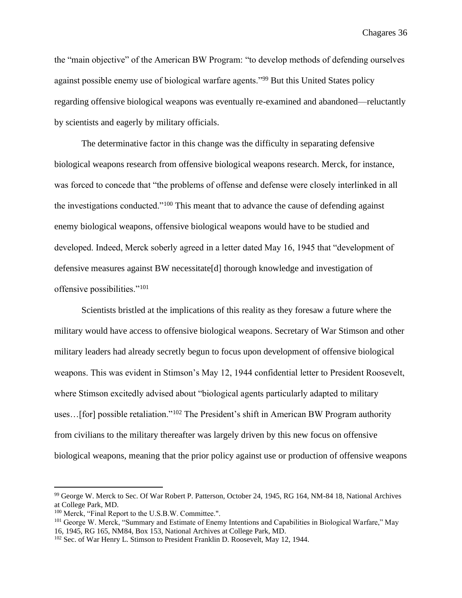the "main objective" of the American BW Program: "to develop methods of defending ourselves against possible enemy use of biological warfare agents."<sup>99</sup> But this United States policy regarding offensive biological weapons was eventually re-examined and abandoned—reluctantly by scientists and eagerly by military officials.

The determinative factor in this change was the difficulty in separating defensive biological weapons research from offensive biological weapons research. Merck, for instance, was forced to concede that "the problems of offense and defense were closely interlinked in all the investigations conducted."<sup>100</sup> This meant that to advance the cause of defending against enemy biological weapons, offensive biological weapons would have to be studied and developed. Indeed, Merck soberly agreed in a letter dated May 16, 1945 that "development of defensive measures against BW necessitate[d] thorough knowledge and investigation of offensive possibilities."<sup>101</sup>

Scientists bristled at the implications of this reality as they foresaw a future where the military would have access to offensive biological weapons. Secretary of War Stimson and other military leaders had already secretly begun to focus upon development of offensive biological weapons. This was evident in Stimson's May 12, 1944 confidential letter to President Roosevelt, where Stimson excitedly advised about "biological agents particularly adapted to military uses...[for] possible retaliation."<sup>102</sup> The President's shift in American BW Program authority from civilians to the military thereafter was largely driven by this new focus on offensive biological weapons, meaning that the prior policy against use or production of offensive weapons

<sup>99</sup> George W. Merck to Sec. Of War Robert P. Patterson, October 24, 1945, RG 164, NM-84 18, National Archives at College Park, MD.

<sup>100</sup> Merck, "Final Report to the U.S.B.W. Committee.".

<sup>101</sup> George W. Merck, "Summary and Estimate of Enemy Intentions and Capabilities in Biological Warfare," May 16, 1945, RG 165, NM84, Box 153, National Archives at College Park, MD.

<sup>102</sup> Sec. of War Henry L. Stimson to President Franklin D. Roosevelt, May 12, 1944.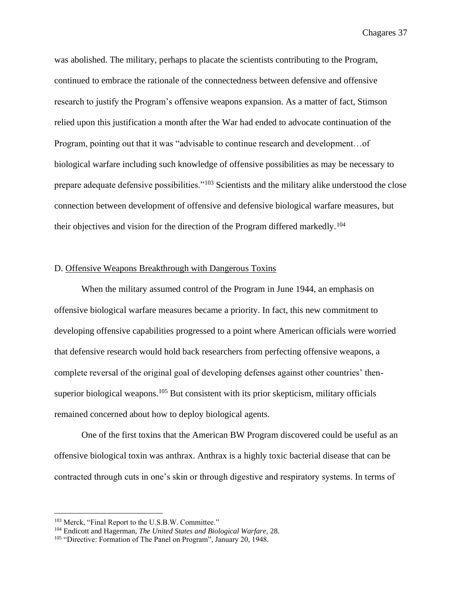was abolished. The military, perhaps to placate the scientists contributing to the Program, continued to embrace the rationale of the connectedness between defensive and offensive research to justify the Program's offensive weapons expansion. As a matter of fact, Stimson relied upon this justification a month after the War had ended to advocate continuation of the Program, pointing out that it was "advisable to continue research and development…of biological warfare including such knowledge of offensive possibilities as may be necessary to prepare adequate defensive possibilities."<sup>103</sup> Scientists and the military alike understood the close connection between development of offensive and defensive biological warfare measures, but their objectives and vision for the direction of the Program differed markedly.<sup>104</sup>

#### D. Offensive Weapons Breakthrough with Dangerous Toxins

When the military assumed control of the Program in June 1944, an emphasis on offensive biological warfare measures became a priority. In fact, this new commitment to developing offensive capabilities progressed to a point where American officials were worried that defensive research would hold back researchers from perfecting offensive weapons, a complete reversal of the original goal of developing defenses against other countries' thensuperior biological weapons.<sup>105</sup> But consistent with its prior skepticism, military officials remained concerned about how to deploy biological agents.

One of the first toxins that the American BW Program discovered could be useful as an offensive biological toxin was anthrax. Anthrax is a highly toxic bacterial disease that can be contracted through cuts in one's skin or through digestive and respiratory systems. In terms of

<sup>103</sup> Merck, "Final Report to the U.S.B.W. Committee."

<sup>104</sup> Endicott and Hagerman, *The United States and Biological Warfare,* 28.

<sup>&</sup>lt;sup>105</sup> "Directive: Formation of The Panel on Program", January 20, 1948.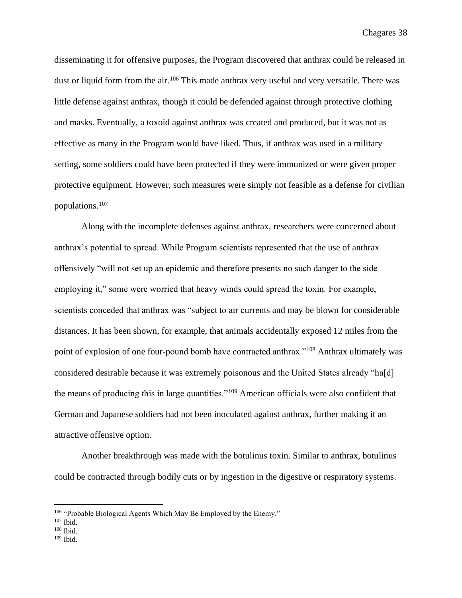disseminating it for offensive purposes, the Program discovered that anthrax could be released in dust or liquid form from the air.<sup>106</sup> This made anthrax very useful and very versatile. There was little defense against anthrax, though it could be defended against through protective clothing and masks. Eventually, a toxoid against anthrax was created and produced, but it was not as effective as many in the Program would have liked. Thus, if anthrax was used in a military setting, some soldiers could have been protected if they were immunized or were given proper protective equipment. However, such measures were simply not feasible as a defense for civilian populations.<sup>107</sup>

Along with the incomplete defenses against anthrax, researchers were concerned about anthrax's potential to spread. While Program scientists represented that the use of anthrax offensively "will not set up an epidemic and therefore presents no such danger to the side employing it," some were worried that heavy winds could spread the toxin. For example, scientists conceded that anthrax was "subject to air currents and may be blown for considerable distances. It has been shown, for example, that animals accidentally exposed 12 miles from the point of explosion of one four-pound bomb have contracted anthrax."<sup>108</sup> Anthrax ultimately was considered desirable because it was extremely poisonous and the United States already "ha[d] the means of producing this in large quantities."<sup>109</sup> American officials were also confident that German and Japanese soldiers had not been inoculated against anthrax, further making it an attractive offensive option.

Another breakthrough was made with the botulinus toxin. Similar to anthrax, botulinus could be contracted through bodily cuts or by ingestion in the digestive or respiratory systems.

 $109$  Ibid.

 $106$  "Probable Biological Agents Which May Be Employed by the Enemy."

 $107$  Ibid.

 $108$  Ibid.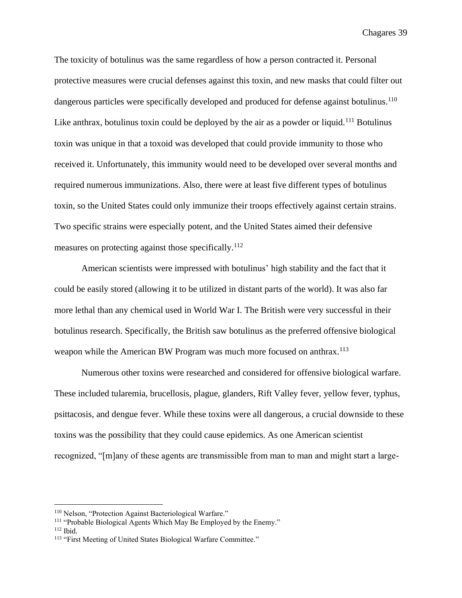The toxicity of botulinus was the same regardless of how a person contracted it. Personal protective measures were crucial defenses against this toxin, and new masks that could filter out dangerous particles were specifically developed and produced for defense against botulinus.<sup>110</sup> Like anthrax, botulinus toxin could be deployed by the air as a powder or liquid.<sup>111</sup> Botulinus toxin was unique in that a toxoid was developed that could provide immunity to those who received it. Unfortunately, this immunity would need to be developed over several months and required numerous immunizations. Also, there were at least five different types of botulinus toxin, so the United States could only immunize their troops effectively against certain strains. Two specific strains were especially potent, and the United States aimed their defensive measures on protecting against those specifically.<sup>112</sup>

American scientists were impressed with botulinus' high stability and the fact that it could be easily stored (allowing it to be utilized in distant parts of the world). It was also far more lethal than any chemical used in World War I. The British were very successful in their botulinus research. Specifically, the British saw botulinus as the preferred offensive biological weapon while the American BW Program was much more focused on anthrax.<sup>113</sup>

Numerous other toxins were researched and considered for offensive biological warfare. These included tularemia, brucellosis, plague, glanders, Rift Valley fever, yellow fever, typhus, psittacosis, and dengue fever. While these toxins were all dangerous, a crucial downside to these toxins was the possibility that they could cause epidemics. As one American scientist recognized, "[m]any of these agents are transmissible from man to man and might start a large-

<sup>&</sup>lt;sup>110</sup> Nelson, "Protection Against Bacteriological Warfare."

<sup>111</sup> "Probable Biological Agents Which May Be Employed by the Enemy."

 $112$  Ibid.

<sup>113</sup> "First Meeting of United States Biological Warfare Committee."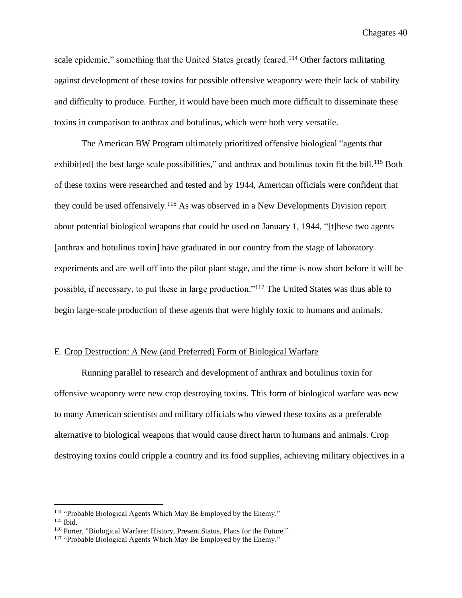scale epidemic," something that the United States greatly feared.<sup>114</sup> Other factors militating against development of these toxins for possible offensive weaponry were their lack of stability and difficulty to produce. Further, it would have been much more difficult to disseminate these toxins in comparison to anthrax and botulinus, which were both very versatile.

The American BW Program ultimately prioritized offensive biological "agents that exhibit[ed] the best large scale possibilities," and anthrax and botulinus toxin fit the bill.<sup>115</sup> Both of these toxins were researched and tested and by 1944, American officials were confident that they could be used offensively.<sup>116</sup> As was observed in a New Developments Division report about potential biological weapons that could be used on January 1, 1944, "[t]hese two agents [anthrax and botulinus toxin] have graduated in our country from the stage of laboratory experiments and are well off into the pilot plant stage, and the time is now short before it will be possible, if necessary, to put these in large production."<sup>117</sup> The United States was thus able to begin large-scale production of these agents that were highly toxic to humans and animals.

#### E. Crop Destruction: A New (and Preferred) Form of Biological Warfare

Running parallel to research and development of anthrax and botulinus toxin for offensive weaponry were new crop destroying toxins. This form of biological warfare was new to many American scientists and military officials who viewed these toxins as a preferable alternative to biological weapons that would cause direct harm to humans and animals. Crop destroying toxins could cripple a country and its food supplies, achieving military objectives in a

<sup>&</sup>lt;sup>114</sup> "Probable Biological Agents Which May Be Employed by the Enemy."

<sup>115</sup> Ibid.

<sup>116</sup> Porter, "Biological Warfare: History, Present Status, Plans for the Future."

<sup>&</sup>lt;sup>117</sup> "Probable Biological Agents Which May Be Employed by the Enemy."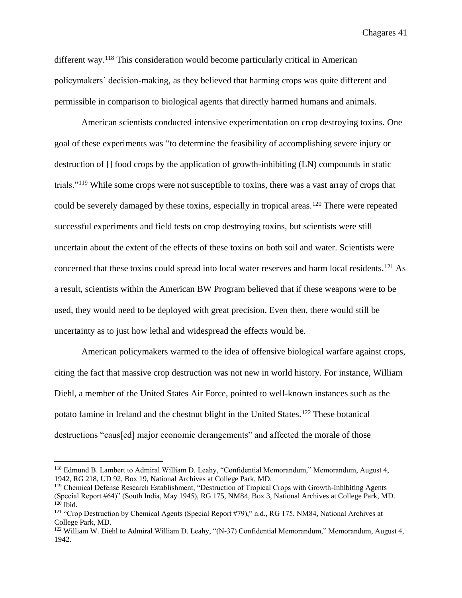different way.<sup>118</sup> This consideration would become particularly critical in American policymakers' decision-making, as they believed that harming crops was quite different and permissible in comparison to biological agents that directly harmed humans and animals.

American scientists conducted intensive experimentation on crop destroying toxins. One goal of these experiments was "to determine the feasibility of accomplishing severe injury or destruction of [] food crops by the application of growth-inhibiting (LN) compounds in static trials."<sup>119</sup> While some crops were not susceptible to toxins, there was a vast array of crops that could be severely damaged by these toxins, especially in tropical areas.<sup>120</sup> There were repeated successful experiments and field tests on crop destroying toxins, but scientists were still uncertain about the extent of the effects of these toxins on both soil and water. Scientists were concerned that these toxins could spread into local water reserves and harm local residents.<sup>121</sup> As a result, scientists within the American BW Program believed that if these weapons were to be used, they would need to be deployed with great precision. Even then, there would still be uncertainty as to just how lethal and widespread the effects would be.

American policymakers warmed to the idea of offensive biological warfare against crops, citing the fact that massive crop destruction was not new in world history. For instance, William Diehl, a member of the United States Air Force, pointed to well-known instances such as the potato famine in Ireland and the chestnut blight in the United States.<sup>122</sup> These botanical destructions "caus[ed] major economic derangements" and affected the morale of those

<sup>&</sup>lt;sup>118</sup> Edmund B. Lambert to Admiral William D. Leahy, "Confidential Memorandum," Memorandum, August 4, 1942, RG 218, UD 92, Box 19, National Archives at College Park, MD.

<sup>&</sup>lt;sup>119</sup> Chemical Defense Research Establishment, "Destruction of Tropical Crops with Growth-Inhibiting Agents (Special Report #64)" (South India, May 1945), RG 175, NM84, Box 3, National Archives at College Park, MD.  $120$  Ibid.

 $121$  "Crop Destruction by Chemical Agents (Special Report #79)," n.d., RG 175, NM84, National Archives at College Park, MD.

<sup>122</sup> William W. Diehl to Admiral William D. Leahy, "(N-37) Confidential Memorandum," Memorandum, August 4, 1942.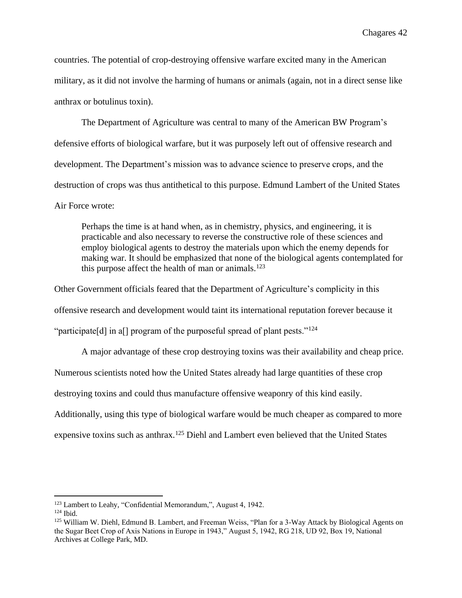countries. The potential of crop-destroying offensive warfare excited many in the American military, as it did not involve the harming of humans or animals (again, not in a direct sense like anthrax or botulinus toxin).

The Department of Agriculture was central to many of the American BW Program's defensive efforts of biological warfare, but it was purposely left out of offensive research and development. The Department's mission was to advance science to preserve crops, and the destruction of crops was thus antithetical to this purpose. Edmund Lambert of the United States Air Force wrote:

Perhaps the time is at hand when, as in chemistry, physics, and engineering, it is practicable and also necessary to reverse the constructive role of these sciences and employ biological agents to destroy the materials upon which the enemy depends for making war. It should be emphasized that none of the biological agents contemplated for this purpose affect the health of man or animals.<sup>123</sup>

Other Government officials feared that the Department of Agriculture's complicity in this offensive research and development would taint its international reputation forever because it "participate[d] in a[] program of the purposeful spread of plant pests."<sup>124</sup>

A major advantage of these crop destroying toxins was their availability and cheap price.

Numerous scientists noted how the United States already had large quantities of these crop

destroying toxins and could thus manufacture offensive weaponry of this kind easily.

Additionally, using this type of biological warfare would be much cheaper as compared to more

expensive toxins such as anthrax.<sup>125</sup> Diehl and Lambert even believed that the United States

<sup>123</sup> Lambert to Leahy, "Confidential Memorandum,", August 4, 1942.

 $124$  Ibid.

<sup>125</sup> William W. Diehl, Edmund B. Lambert, and Freeman Weiss, "Plan for a 3-Way Attack by Biological Agents on the Sugar Beet Crop of Axis Nations in Europe in 1943," August 5, 1942, RG 218, UD 92, Box 19, National Archives at College Park, MD.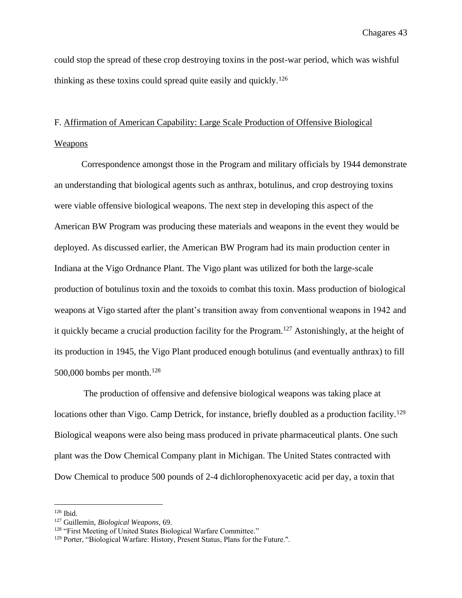could stop the spread of these crop destroying toxins in the post-war period, which was wishful thinking as these toxins could spread quite easily and quickly.<sup>126</sup>

# F. Affirmation of American Capability: Large Scale Production of Offensive Biological Weapons

Correspondence amongst those in the Program and military officials by 1944 demonstrate an understanding that biological agents such as anthrax, botulinus, and crop destroying toxins were viable offensive biological weapons. The next step in developing this aspect of the American BW Program was producing these materials and weapons in the event they would be deployed. As discussed earlier, the American BW Program had its main production center in Indiana at the Vigo Ordnance Plant. The Vigo plant was utilized for both the large-scale production of botulinus toxin and the toxoids to combat this toxin. Mass production of biological weapons at Vigo started after the plant's transition away from conventional weapons in 1942 and it quickly became a crucial production facility for the Program.<sup>127</sup> Astonishingly, at the height of its production in 1945, the Vigo Plant produced enough botulinus (and eventually anthrax) to fill 500,000 bombs per month.<sup>128</sup>

The production of offensive and defensive biological weapons was taking place at locations other than Vigo. Camp Detrick, for instance, briefly doubled as a production facility.<sup>129</sup> Biological weapons were also being mass produced in private pharmaceutical plants. One such plant was the Dow Chemical Company plant in Michigan. The United States contracted with Dow Chemical to produce 500 pounds of 2-4 dichlorophenoxyacetic acid per day, a toxin that

 $126$  Ibid.

<sup>127</sup> Guillemin, *Biological Weapons,* 69.

<sup>128</sup> "First Meeting of United States Biological Warfare Committee."

<sup>&</sup>lt;sup>129</sup> Porter, "Biological Warfare: History, Present Status, Plans for the Future.".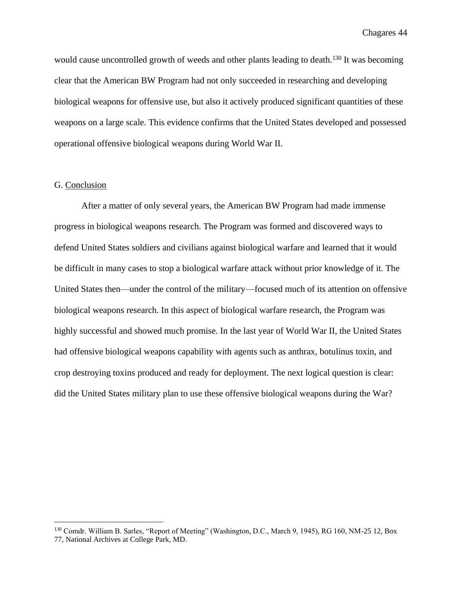would cause uncontrolled growth of weeds and other plants leading to death.<sup>130</sup> It was becoming clear that the American BW Program had not only succeeded in researching and developing biological weapons for offensive use, but also it actively produced significant quantities of these weapons on a large scale. This evidence confirms that the United States developed and possessed operational offensive biological weapons during World War II.

#### G. Conclusion

After a matter of only several years, the American BW Program had made immense progress in biological weapons research. The Program was formed and discovered ways to defend United States soldiers and civilians against biological warfare and learned that it would be difficult in many cases to stop a biological warfare attack without prior knowledge of it. The United States then—under the control of the military—focused much of its attention on offensive biological weapons research. In this aspect of biological warfare research, the Program was highly successful and showed much promise. In the last year of World War II, the United States had offensive biological weapons capability with agents such as anthrax, botulinus toxin, and crop destroying toxins produced and ready for deployment. The next logical question is clear: did the United States military plan to use these offensive biological weapons during the War?

<sup>130</sup> Comdr. William B. Sarles, "Report of Meeting" (Washington, D.C., March 9, 1945), RG 160, NM-25 12, Box 77, National Archives at College Park, MD.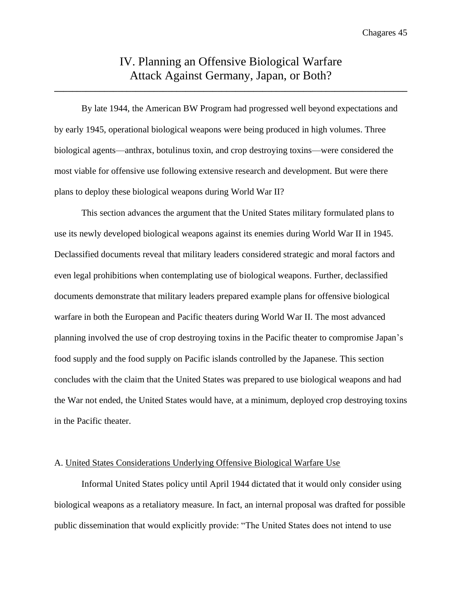## IV. Planning an Offensive Biological Warfare Attack Against Germany, Japan, or Both?

**\_\_\_\_\_\_\_\_\_\_\_\_\_\_\_\_\_\_\_\_\_\_\_\_\_\_\_\_\_\_\_\_\_\_\_\_\_\_\_\_\_\_\_\_\_\_\_\_\_\_\_\_\_\_\_\_\_\_\_\_\_\_\_\_\_\_\_\_\_\_\_\_\_\_\_\_\_\_**

By late 1944, the American BW Program had progressed well beyond expectations and by early 1945, operational biological weapons were being produced in high volumes. Three biological agents—anthrax, botulinus toxin, and crop destroying toxins—were considered the most viable for offensive use following extensive research and development. But were there plans to deploy these biological weapons during World War II?

This section advances the argument that the United States military formulated plans to use its newly developed biological weapons against its enemies during World War II in 1945. Declassified documents reveal that military leaders considered strategic and moral factors and even legal prohibitions when contemplating use of biological weapons. Further, declassified documents demonstrate that military leaders prepared example plans for offensive biological warfare in both the European and Pacific theaters during World War II. The most advanced planning involved the use of crop destroying toxins in the Pacific theater to compromise Japan's food supply and the food supply on Pacific islands controlled by the Japanese. This section concludes with the claim that the United States was prepared to use biological weapons and had the War not ended, the United States would have, at a minimum, deployed crop destroying toxins in the Pacific theater.

#### A. United States Considerations Underlying Offensive Biological Warfare Use

Informal United States policy until April 1944 dictated that it would only consider using biological weapons as a retaliatory measure. In fact, an internal proposal was drafted for possible public dissemination that would explicitly provide: "The United States does not intend to use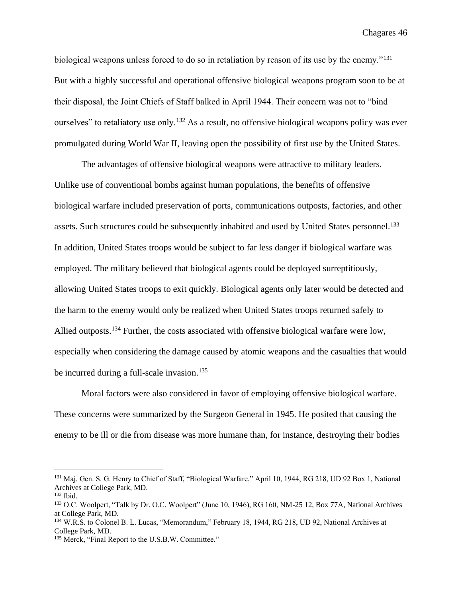biological weapons unless forced to do so in retaliation by reason of its use by the enemy."<sup>131</sup> But with a highly successful and operational offensive biological weapons program soon to be at their disposal, the Joint Chiefs of Staff balked in April 1944. Their concern was not to "bind ourselves" to retaliatory use only.<sup>132</sup> As a result, no offensive biological weapons policy was ever promulgated during World War II, leaving open the possibility of first use by the United States.

The advantages of offensive biological weapons were attractive to military leaders. Unlike use of conventional bombs against human populations, the benefits of offensive biological warfare included preservation of ports, communications outposts, factories, and other assets. Such structures could be subsequently inhabited and used by United States personnel.<sup>133</sup> In addition, United States troops would be subject to far less danger if biological warfare was employed. The military believed that biological agents could be deployed surreptitiously, allowing United States troops to exit quickly. Biological agents only later would be detected and the harm to the enemy would only be realized when United States troops returned safely to Allied outposts.<sup>134</sup> Further, the costs associated with offensive biological warfare were low, especially when considering the damage caused by atomic weapons and the casualties that would be incurred during a full-scale invasion.<sup>135</sup>

Moral factors were also considered in favor of employing offensive biological warfare. These concerns were summarized by the Surgeon General in 1945. He posited that causing the enemy to be ill or die from disease was more humane than, for instance, destroying their bodies

<sup>131</sup> Maj. Gen. S. G. Henry to Chief of Staff, "Biological Warfare," April 10, 1944, RG 218, UD 92 Box 1, National Archives at College Park, MD.

<sup>132</sup> Ibid.

<sup>133</sup> O.C. Woolpert, "Talk by Dr. O.C. Woolpert" (June 10, 1946), RG 160, NM-25 12, Box 77A, National Archives at College Park, MD.

<sup>134</sup> W.R.S. to Colonel B. L. Lucas, "Memorandum," February 18, 1944, RG 218, UD 92, National Archives at College Park, MD.

<sup>&</sup>lt;sup>135</sup> Merck, "Final Report to the U.S.B.W. Committee."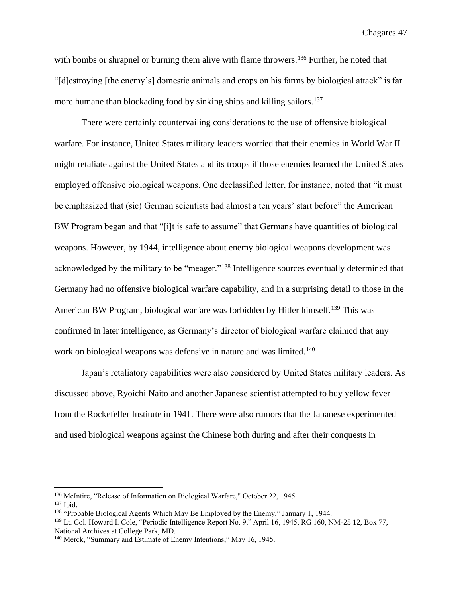with bombs or shrapnel or burning them alive with flame throwers.<sup>136</sup> Further, he noted that "[d]estroying [the enemy's] domestic animals and crops on his farms by biological attack" is far more humane than blockading food by sinking ships and killing sailors.<sup>137</sup>

There were certainly countervailing considerations to the use of offensive biological warfare. For instance, United States military leaders worried that their enemies in World War II might retaliate against the United States and its troops if those enemies learned the United States employed offensive biological weapons. One declassified letter, for instance, noted that "it must be emphasized that (sic) German scientists had almost a ten years' start before" the American BW Program began and that "[i]t is safe to assume" that Germans have quantities of biological weapons. However, by 1944, intelligence about enemy biological weapons development was acknowledged by the military to be "meager."<sup>138</sup> Intelligence sources eventually determined that Germany had no offensive biological warfare capability, and in a surprising detail to those in the American BW Program, biological warfare was forbidden by Hitler himself.<sup>139</sup> This was confirmed in later intelligence, as Germany's director of biological warfare claimed that any work on biological weapons was defensive in nature and was limited.<sup>140</sup>

Japan's retaliatory capabilities were also considered by United States military leaders. As discussed above, Ryoichi Naito and another Japanese scientist attempted to buy yellow fever from the Rockefeller Institute in 1941. There were also rumors that the Japanese experimented and used biological weapons against the Chinese both during and after their conquests in

<sup>136</sup> McIntire, "Release of Information on Biological Warfare," October 22, 1945.

<sup>137</sup> Ibid.

<sup>&</sup>lt;sup>138</sup> "Probable Biological Agents Which May Be Employed by the Enemy," January 1, 1944.

<sup>139</sup> Lt. Col. Howard I. Cole, "Periodic Intelligence Report No. 9," April 16, 1945, RG 160, NM-25 12, Box 77, National Archives at College Park, MD.

<sup>140</sup> Merck, "Summary and Estimate of Enemy Intentions," May 16, 1945.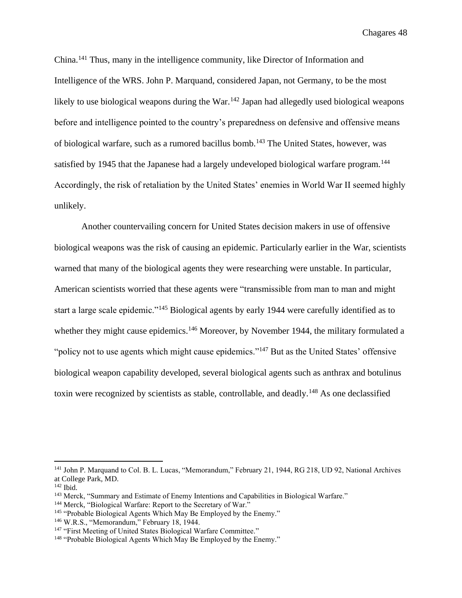China.<sup>141</sup> Thus, many in the intelligence community, like Director of Information and Intelligence of the WRS. John P. Marquand, considered Japan, not Germany, to be the most likely to use biological weapons during the War.<sup>142</sup> Japan had allegedly used biological weapons before and intelligence pointed to the country's preparedness on defensive and offensive means of biological warfare, such as a rumored bacillus bomb.<sup>143</sup> The United States, however, was satisfied by 1945 that the Japanese had a largely undeveloped biological warfare program.<sup>144</sup> Accordingly, the risk of retaliation by the United States' enemies in World War II seemed highly unlikely.

Another countervailing concern for United States decision makers in use of offensive biological weapons was the risk of causing an epidemic. Particularly earlier in the War, scientists warned that many of the biological agents they were researching were unstable. In particular, American scientists worried that these agents were "transmissible from man to man and might start a large scale epidemic."<sup>145</sup> Biological agents by early 1944 were carefully identified as to whether they might cause epidemics.<sup>146</sup> Moreover, by November 1944, the military formulated a "policy not to use agents which might cause epidemics."<sup>147</sup> But as the United States' offensive biological weapon capability developed, several biological agents such as anthrax and botulinus toxin were recognized by scientists as stable, controllable, and deadly.<sup>148</sup> As one declassified

<sup>&</sup>lt;sup>141</sup> John P. Marquand to Col. B. L. Lucas, "Memorandum," February 21, 1944, RG 218, UD 92, National Archives at College Park, MD.

 $142$  Ibid.

<sup>&</sup>lt;sup>143</sup> Merck, "Summary and Estimate of Enemy Intentions and Capabilities in Biological Warfare."

<sup>144</sup> Merck, "Biological Warfare: Report to the Secretary of War."

<sup>&</sup>lt;sup>145</sup> "Probable Biological Agents Which May Be Employed by the Enemy."

<sup>146</sup> W.R.S., "Memorandum," February 18, 1944.

<sup>&</sup>lt;sup>147</sup> "First Meeting of United States Biological Warfare Committee."

<sup>&</sup>lt;sup>148</sup> "Probable Biological Agents Which May Be Employed by the Enemy."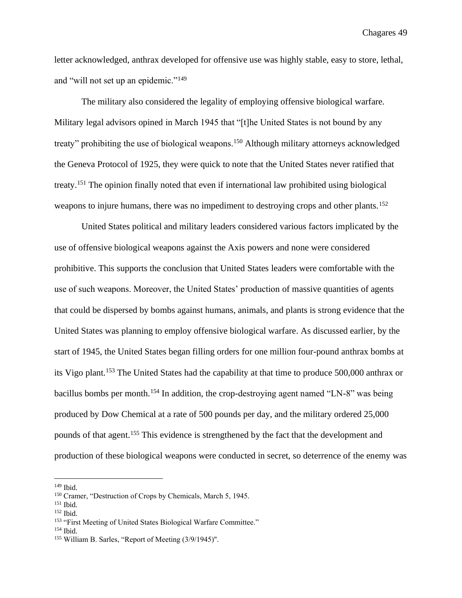letter acknowledged, anthrax developed for offensive use was highly stable, easy to store, lethal, and "will not set up an epidemic."<sup>149</sup>

The military also considered the legality of employing offensive biological warfare. Military legal advisors opined in March 1945 that "[t]he United States is not bound by any treaty" prohibiting the use of biological weapons.<sup>150</sup> Although military attorneys acknowledged the Geneva Protocol of 1925, they were quick to note that the United States never ratified that treaty. <sup>151</sup> The opinion finally noted that even if international law prohibited using biological weapons to injure humans, there was no impediment to destroying crops and other plants.<sup>152</sup>

United States political and military leaders considered various factors implicated by the use of offensive biological weapons against the Axis powers and none were considered prohibitive. This supports the conclusion that United States leaders were comfortable with the use of such weapons. Moreover, the United States' production of massive quantities of agents that could be dispersed by bombs against humans, animals, and plants is strong evidence that the United States was planning to employ offensive biological warfare. As discussed earlier, by the start of 1945, the United States began filling orders for one million four-pound anthrax bombs at its Vigo plant.<sup>153</sup> The United States had the capability at that time to produce 500,000 anthrax or bacillus bombs per month.<sup>154</sup> In addition, the crop-destroying agent named "LN-8" was being produced by Dow Chemical at a rate of 500 pounds per day, and the military ordered 25,000 pounds of that agent.<sup>155</sup> This evidence is strengthened by the fact that the development and production of these biological weapons were conducted in secret, so deterrence of the enemy was

 $149$  Ibid.

<sup>150</sup> Cramer, "Destruction of Crops by Chemicals, March 5, 1945.

<sup>151</sup> Ibid.

<sup>152</sup> Ibid.

<sup>&</sup>lt;sup>153</sup> "First Meeting of United States Biological Warfare Committee."

<sup>154</sup> Ibid.

<sup>155</sup> William B. Sarles, "Report of Meeting (3/9/1945)".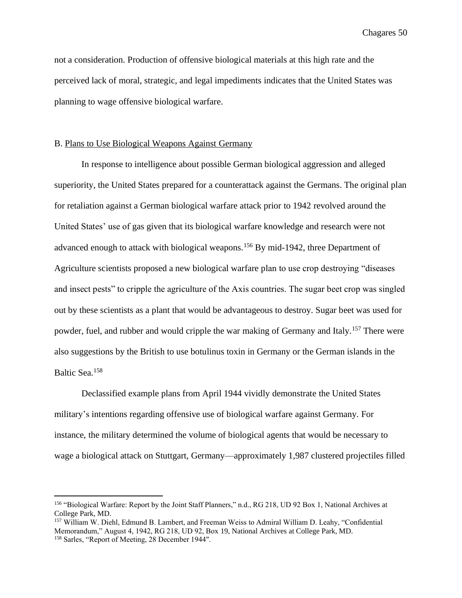not a consideration. Production of offensive biological materials at this high rate and the perceived lack of moral, strategic, and legal impediments indicates that the United States was planning to wage offensive biological warfare.

#### B. Plans to Use Biological Weapons Against Germany

In response to intelligence about possible German biological aggression and alleged superiority, the United States prepared for a counterattack against the Germans. The original plan for retaliation against a German biological warfare attack prior to 1942 revolved around the United States' use of gas given that its biological warfare knowledge and research were not advanced enough to attack with biological weapons.<sup>156</sup> By mid-1942, three Department of Agriculture scientists proposed a new biological warfare plan to use crop destroying "diseases and insect pests" to cripple the agriculture of the Axis countries. The sugar beet crop was singled out by these scientists as a plant that would be advantageous to destroy. Sugar beet was used for powder, fuel, and rubber and would cripple the war making of Germany and Italy.<sup>157</sup> There were also suggestions by the British to use botulinus toxin in Germany or the German islands in the Baltic Sea.<sup>158</sup>

Declassified example plans from April 1944 vividly demonstrate the United States military's intentions regarding offensive use of biological warfare against Germany. For instance, the military determined the volume of biological agents that would be necessary to wage a biological attack on Stuttgart, Germany—approximately 1,987 clustered projectiles filled

<sup>156</sup> "Biological Warfare: Report by the Joint Staff Planners," n.d., RG 218, UD 92 Box 1, National Archives at College Park, MD.

<sup>157</sup> William W. Diehl, Edmund B. Lambert, and Freeman Weiss to Admiral William D. Leahy, "Confidential Memorandum," August 4, 1942, RG 218, UD 92, Box 19, National Archives at College Park, MD. <sup>158</sup> Sarles, "Report of Meeting, 28 December 1944".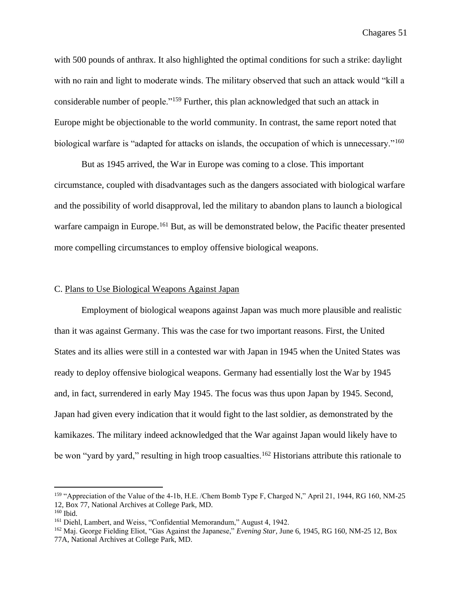with 500 pounds of anthrax. It also highlighted the optimal conditions for such a strike: daylight with no rain and light to moderate winds. The military observed that such an attack would "kill a considerable number of people."<sup>159</sup> Further, this plan acknowledged that such an attack in Europe might be objectionable to the world community. In contrast, the same report noted that biological warfare is "adapted for attacks on islands, the occupation of which is unnecessary."<sup>160</sup>

But as 1945 arrived, the War in Europe was coming to a close. This important circumstance, coupled with disadvantages such as the dangers associated with biological warfare and the possibility of world disapproval, led the military to abandon plans to launch a biological warfare campaign in Europe.<sup>161</sup> But, as will be demonstrated below, the Pacific theater presented more compelling circumstances to employ offensive biological weapons.

#### C. Plans to Use Biological Weapons Against Japan

Employment of biological weapons against Japan was much more plausible and realistic than it was against Germany. This was the case for two important reasons. First, the United States and its allies were still in a contested war with Japan in 1945 when the United States was ready to deploy offensive biological weapons. Germany had essentially lost the War by 1945 and, in fact, surrendered in early May 1945. The focus was thus upon Japan by 1945. Second, Japan had given every indication that it would fight to the last soldier, as demonstrated by the kamikazes. The military indeed acknowledged that the War against Japan would likely have to be won "yard by yard," resulting in high troop casualties.<sup>162</sup> Historians attribute this rationale to

<sup>159</sup> "Appreciation of the Value of the 4-1b, H.E. /Chem Bomb Type F, Charged N," April 21, 1944, RG 160, NM-25 12, Box 77, National Archives at College Park, MD.

 $160$  Ibid.

<sup>161</sup> Diehl, Lambert, and Weiss, "Confidential Memorandum," August 4, 1942.

<sup>162</sup> Maj. George Fielding Eliot, "Gas Against the Japanese," *Evening Star*, June 6, 1945, RG 160, NM-25 12, Box 77A, National Archives at College Park, MD.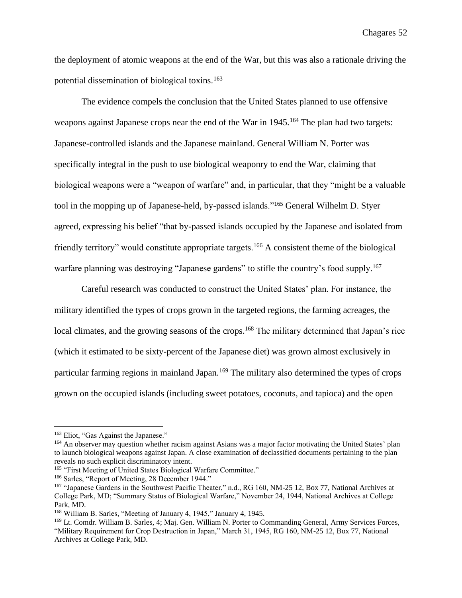the deployment of atomic weapons at the end of the War, but this was also a rationale driving the potential dissemination of biological toxins.<sup>163</sup>

The evidence compels the conclusion that the United States planned to use offensive weapons against Japanese crops near the end of the War in 1945.<sup>164</sup> The plan had two targets: Japanese-controlled islands and the Japanese mainland. General William N. Porter was specifically integral in the push to use biological weaponry to end the War, claiming that biological weapons were a "weapon of warfare" and, in particular, that they "might be a valuable tool in the mopping up of Japanese-held, by-passed islands."<sup>165</sup> General Wilhelm D. Styer agreed, expressing his belief "that by-passed islands occupied by the Japanese and isolated from friendly territory" would constitute appropriate targets.<sup>166</sup> A consistent theme of the biological warfare planning was destroying "Japanese gardens" to stifle the country's food supply.<sup>167</sup>

Careful research was conducted to construct the United States' plan. For instance, the military identified the types of crops grown in the targeted regions, the farming acreages, the local climates, and the growing seasons of the crops.<sup>168</sup> The military determined that Japan's rice (which it estimated to be sixty-percent of the Japanese diet) was grown almost exclusively in particular farming regions in mainland Japan.<sup>169</sup> The military also determined the types of crops grown on the occupied islands (including sweet potatoes, coconuts, and tapioca) and the open

<sup>&</sup>lt;sup>163</sup> Eliot, "Gas Against the Japanese."

<sup>&</sup>lt;sup>164</sup> An observer may question whether racism against Asians was a major factor motivating the United States' plan to launch biological weapons against Japan. A close examination of declassified documents pertaining to the plan reveals no such explicit discriminatory intent.

<sup>&</sup>lt;sup>165</sup> "First Meeting of United States Biological Warfare Committee."

<sup>&</sup>lt;sup>166</sup> Sarles, "Report of Meeting, 28 December 1944."

<sup>&</sup>lt;sup>167</sup> "Japanese Gardens in the Southwest Pacific Theater," n.d., RG 160, NM-25 12, Box 77, National Archives at College Park, MD; "Summary Status of Biological Warfare," November 24, 1944, National Archives at College Park, MD.

<sup>168</sup> William B. Sarles, "Meeting of January 4, 1945," January 4, 1945.

<sup>169</sup> Lt. Comdr. William B. Sarles, 4; Maj. Gen. William N. Porter to Commanding General, Army Services Forces, "Military Requirement for Crop Destruction in Japan," March 31, 1945, RG 160, NM-25 12, Box 77, National Archives at College Park, MD.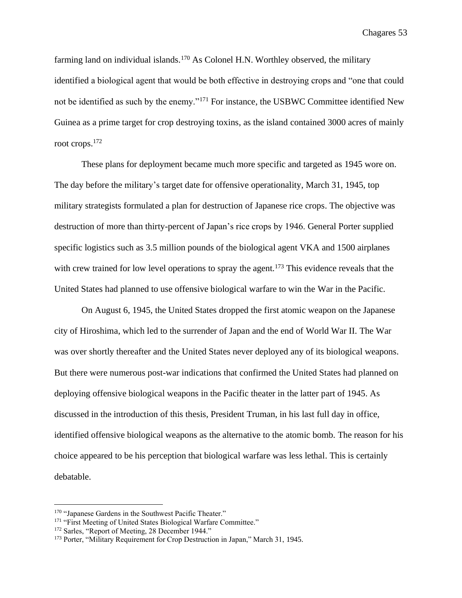farming land on individual islands.<sup>170</sup> As Colonel H.N. Worthley observed, the military identified a biological agent that would be both effective in destroying crops and "one that could not be identified as such by the enemy."<sup>171</sup> For instance, the USBWC Committee identified New Guinea as a prime target for crop destroying toxins, as the island contained 3000 acres of mainly root crops.<sup>172</sup>

These plans for deployment became much more specific and targeted as 1945 wore on. The day before the military's target date for offensive operationality, March 31, 1945, top military strategists formulated a plan for destruction of Japanese rice crops. The objective was destruction of more than thirty-percent of Japan's rice crops by 1946. General Porter supplied specific logistics such as 3.5 million pounds of the biological agent VKA and 1500 airplanes with crew trained for low level operations to spray the agent.<sup>173</sup> This evidence reveals that the United States had planned to use offensive biological warfare to win the War in the Pacific.

On August 6, 1945, the United States dropped the first atomic weapon on the Japanese city of Hiroshima, which led to the surrender of Japan and the end of World War II. The War was over shortly thereafter and the United States never deployed any of its biological weapons. But there were numerous post-war indications that confirmed the United States had planned on deploying offensive biological weapons in the Pacific theater in the latter part of 1945. As discussed in the introduction of this thesis, President Truman, in his last full day in office, identified offensive biological weapons as the alternative to the atomic bomb. The reason for his choice appeared to be his perception that biological warfare was less lethal. This is certainly debatable.

<sup>&</sup>lt;sup>170</sup> "Japanese Gardens in the Southwest Pacific Theater."

<sup>&</sup>lt;sup>171</sup> "First Meeting of United States Biological Warfare Committee."

<sup>&</sup>lt;sup>172</sup> Sarles, "Report of Meeting, 28 December 1944."

<sup>&</sup>lt;sup>173</sup> Porter, "Military Requirement for Crop Destruction in Japan," March 31, 1945.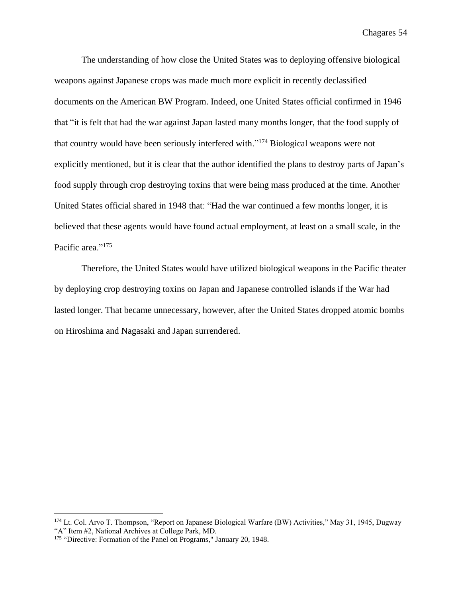The understanding of how close the United States was to deploying offensive biological weapons against Japanese crops was made much more explicit in recently declassified documents on the American BW Program. Indeed, one United States official confirmed in 1946 that "it is felt that had the war against Japan lasted many months longer, that the food supply of that country would have been seriously interfered with."<sup>174</sup> Biological weapons were not explicitly mentioned, but it is clear that the author identified the plans to destroy parts of Japan's food supply through crop destroying toxins that were being mass produced at the time. Another United States official shared in 1948 that: "Had the war continued a few months longer, it is believed that these agents would have found actual employment, at least on a small scale, in the Pacific area."<sup>175</sup>

Therefore, the United States would have utilized biological weapons in the Pacific theater by deploying crop destroying toxins on Japan and Japanese controlled islands if the War had lasted longer. That became unnecessary, however, after the United States dropped atomic bombs on Hiroshima and Nagasaki and Japan surrendered.

<sup>174</sup> Lt. Col. Arvo T. Thompson, "Report on Japanese Biological Warfare (BW) Activities," May 31, 1945, Dugway "A" Item #2, National Archives at College Park, MD.

<sup>&</sup>lt;sup>175</sup> "Directive: Formation of the Panel on Programs," January 20, 1948.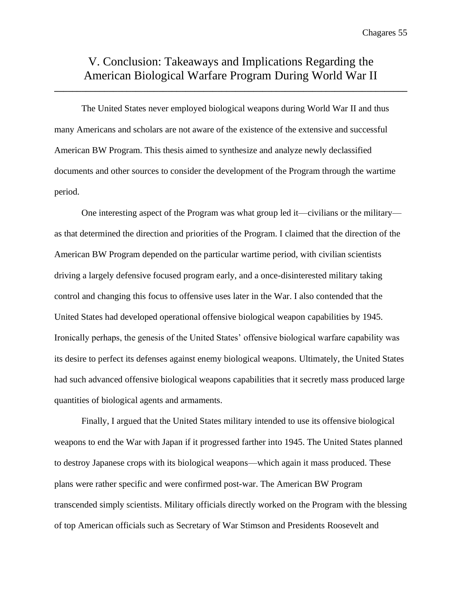## V. Conclusion: Takeaways and Implications Regarding the American Biological Warfare Program During World War II

**\_\_\_\_\_\_\_\_\_\_\_\_\_\_\_\_\_\_\_\_\_\_\_\_\_\_\_\_\_\_\_\_\_\_\_\_\_\_\_\_\_\_\_\_\_\_\_\_\_\_\_\_\_\_\_\_\_\_\_\_\_\_\_\_\_\_\_\_\_\_\_\_\_\_\_\_\_\_**

The United States never employed biological weapons during World War II and thus many Americans and scholars are not aware of the existence of the extensive and successful American BW Program. This thesis aimed to synthesize and analyze newly declassified documents and other sources to consider the development of the Program through the wartime period.

One interesting aspect of the Program was what group led it—civilians or the military as that determined the direction and priorities of the Program. I claimed that the direction of the American BW Program depended on the particular wartime period, with civilian scientists driving a largely defensive focused program early, and a once-disinterested military taking control and changing this focus to offensive uses later in the War. I also contended that the United States had developed operational offensive biological weapon capabilities by 1945. Ironically perhaps, the genesis of the United States' offensive biological warfare capability was its desire to perfect its defenses against enemy biological weapons. Ultimately, the United States had such advanced offensive biological weapons capabilities that it secretly mass produced large quantities of biological agents and armaments.

Finally, I argued that the United States military intended to use its offensive biological weapons to end the War with Japan if it progressed farther into 1945. The United States planned to destroy Japanese crops with its biological weapons—which again it mass produced. These plans were rather specific and were confirmed post-war. The American BW Program transcended simply scientists. Military officials directly worked on the Program with the blessing of top American officials such as Secretary of War Stimson and Presidents Roosevelt and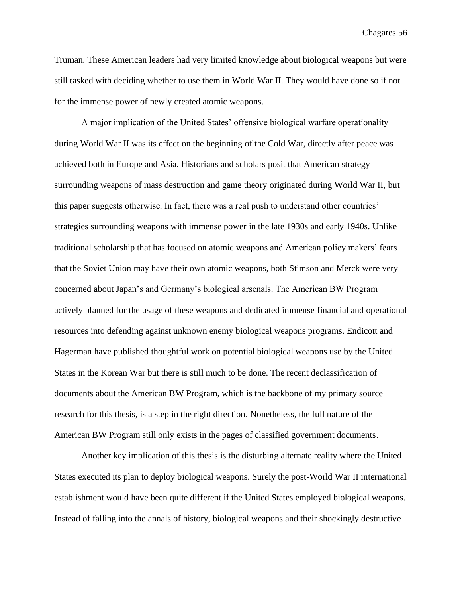Truman. These American leaders had very limited knowledge about biological weapons but were still tasked with deciding whether to use them in World War II. They would have done so if not for the immense power of newly created atomic weapons.

A major implication of the United States' offensive biological warfare operationality during World War II was its effect on the beginning of the Cold War, directly after peace was achieved both in Europe and Asia. Historians and scholars posit that American strategy surrounding weapons of mass destruction and game theory originated during World War II, but this paper suggests otherwise. In fact, there was a real push to understand other countries' strategies surrounding weapons with immense power in the late 1930s and early 1940s. Unlike traditional scholarship that has focused on atomic weapons and American policy makers' fears that the Soviet Union may have their own atomic weapons, both Stimson and Merck were very concerned about Japan's and Germany's biological arsenals. The American BW Program actively planned for the usage of these weapons and dedicated immense financial and operational resources into defending against unknown enemy biological weapons programs. Endicott and Hagerman have published thoughtful work on potential biological weapons use by the United States in the Korean War but there is still much to be done. The recent declassification of documents about the American BW Program, which is the backbone of my primary source research for this thesis, is a step in the right direction. Nonetheless, the full nature of the American BW Program still only exists in the pages of classified government documents.

Another key implication of this thesis is the disturbing alternate reality where the United States executed its plan to deploy biological weapons. Surely the post-World War II international establishment would have been quite different if the United States employed biological weapons. Instead of falling into the annals of history, biological weapons and their shockingly destructive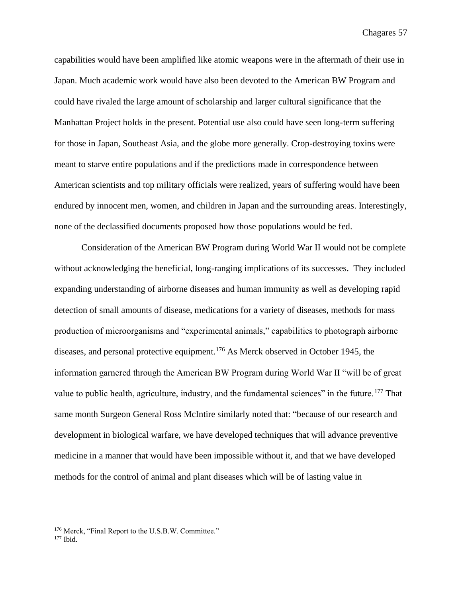capabilities would have been amplified like atomic weapons were in the aftermath of their use in Japan. Much academic work would have also been devoted to the American BW Program and could have rivaled the large amount of scholarship and larger cultural significance that the Manhattan Project holds in the present. Potential use also could have seen long-term suffering for those in Japan, Southeast Asia, and the globe more generally. Crop-destroying toxins were meant to starve entire populations and if the predictions made in correspondence between American scientists and top military officials were realized, years of suffering would have been endured by innocent men, women, and children in Japan and the surrounding areas. Interestingly, none of the declassified documents proposed how those populations would be fed.

Consideration of the American BW Program during World War II would not be complete without acknowledging the beneficial, long-ranging implications of its successes. They included expanding understanding of airborne diseases and human immunity as well as developing rapid detection of small amounts of disease, medications for a variety of diseases, methods for mass production of microorganisms and "experimental animals," capabilities to photograph airborne diseases, and personal protective equipment.<sup>176</sup> As Merck observed in October 1945, the information garnered through the American BW Program during World War II "will be of great value to public health, agriculture, industry, and the fundamental sciences" in the future.<sup>177</sup> That same month Surgeon General Ross McIntire similarly noted that: "because of our research and development in biological warfare, we have developed techniques that will advance preventive medicine in a manner that would have been impossible without it, and that we have developed methods for the control of animal and plant diseases which will be of lasting value in

<sup>176</sup> Merck, "Final Report to the U.S.B.W. Committee."

 $177$  Ibid.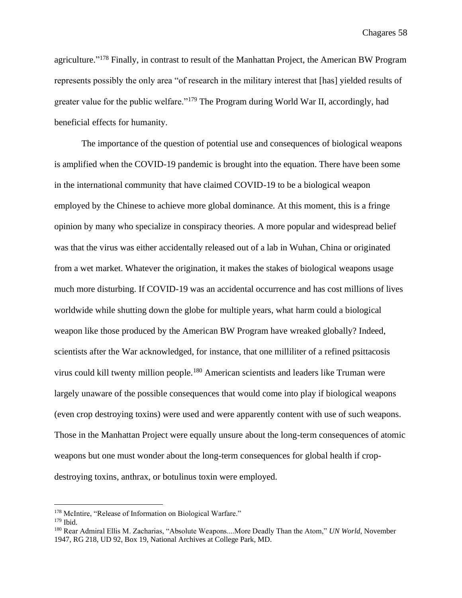agriculture."<sup>178</sup> Finally, in contrast to result of the Manhattan Project, the American BW Program represents possibly the only area "of research in the military interest that [has] yielded results of greater value for the public welfare."<sup>179</sup> The Program during World War II, accordingly, had beneficial effects for humanity.

The importance of the question of potential use and consequences of biological weapons is amplified when the COVID-19 pandemic is brought into the equation. There have been some in the international community that have claimed COVID-19 to be a biological weapon employed by the Chinese to achieve more global dominance. At this moment, this is a fringe opinion by many who specialize in conspiracy theories. A more popular and widespread belief was that the virus was either accidentally released out of a lab in Wuhan, China or originated from a wet market. Whatever the origination, it makes the stakes of biological weapons usage much more disturbing. If COVID-19 was an accidental occurrence and has cost millions of lives worldwide while shutting down the globe for multiple years, what harm could a biological weapon like those produced by the American BW Program have wreaked globally? Indeed, scientists after the War acknowledged, for instance, that one milliliter of a refined psittacosis virus could kill twenty million people.<sup>180</sup> American scientists and leaders like Truman were largely unaware of the possible consequences that would come into play if biological weapons (even crop destroying toxins) were used and were apparently content with use of such weapons. Those in the Manhattan Project were equally unsure about the long-term consequences of atomic weapons but one must wonder about the long-term consequences for global health if cropdestroying toxins, anthrax, or botulinus toxin were employed.

<sup>&</sup>lt;sup>178</sup> McIntire, "Release of Information on Biological Warfare."

<sup>179</sup> Ibid.

<sup>180</sup> Rear Admiral Ellis M. Zacharias, "Absolute Weapons....More Deadly Than the Atom," *UN World*, November 1947, RG 218, UD 92, Box 19, National Archives at College Park, MD.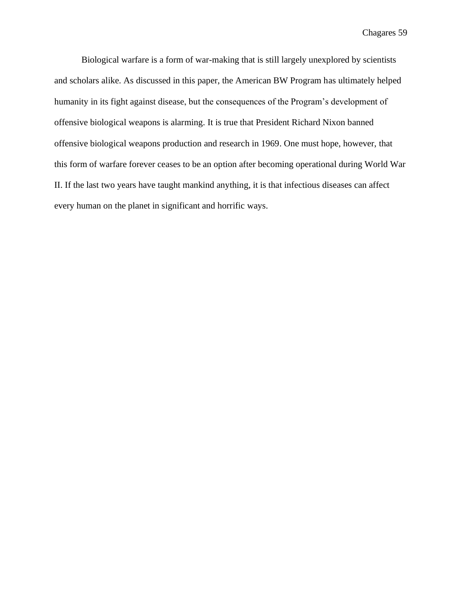Biological warfare is a form of war-making that is still largely unexplored by scientists and scholars alike. As discussed in this paper, the American BW Program has ultimately helped humanity in its fight against disease, but the consequences of the Program's development of offensive biological weapons is alarming. It is true that President Richard Nixon banned offensive biological weapons production and research in 1969. One must hope, however, that this form of warfare forever ceases to be an option after becoming operational during World War II. If the last two years have taught mankind anything, it is that infectious diseases can affect every human on the planet in significant and horrific ways.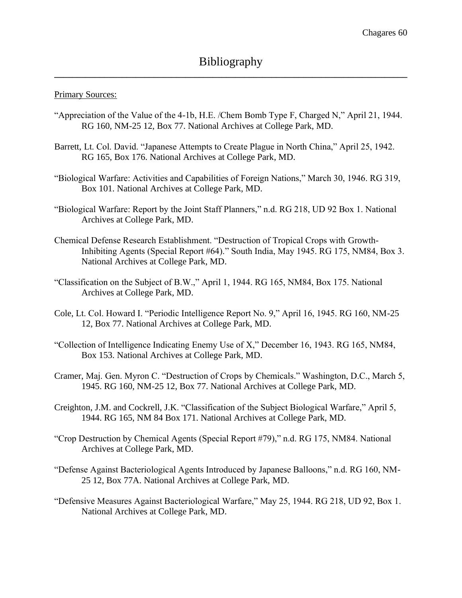#### Primary Sources:

- "Appreciation of the Value of the 4-1b, H.E. /Chem Bomb Type F, Charged N," April 21, 1944. RG 160, NM-25 12, Box 77. National Archives at College Park, MD.
- Barrett, Lt. Col. David. "Japanese Attempts to Create Plague in North China," April 25, 1942. RG 165, Box 176. National Archives at College Park, MD.
- "Biological Warfare: Activities and Capabilities of Foreign Nations," March 30, 1946. RG 319, Box 101. National Archives at College Park, MD.
- "Biological Warfare: Report by the Joint Staff Planners," n.d. RG 218, UD 92 Box 1. National Archives at College Park, MD.
- Chemical Defense Research Establishment. "Destruction of Tropical Crops with Growth-Inhibiting Agents (Special Report #64)." South India, May 1945. RG 175, NM84, Box 3. National Archives at College Park, MD.
- "Classification on the Subject of B.W.," April 1, 1944. RG 165, NM84, Box 175. National Archives at College Park, MD.
- Cole, Lt. Col. Howard I. "Periodic Intelligence Report No. 9," April 16, 1945. RG 160, NM-25 12, Box 77. National Archives at College Park, MD.
- "Collection of Intelligence Indicating Enemy Use of X," December 16, 1943. RG 165, NM84, Box 153. National Archives at College Park, MD.
- Cramer, Maj. Gen. Myron C. "Destruction of Crops by Chemicals." Washington, D.C., March 5, 1945. RG 160, NM-25 12, Box 77. National Archives at College Park, MD.
- Creighton, J.M. and Cockrell, J.K. "Classification of the Subject Biological Warfare," April 5, 1944. RG 165, NM 84 Box 171. National Archives at College Park, MD.
- "Crop Destruction by Chemical Agents (Special Report #79)," n.d. RG 175, NM84. National Archives at College Park, MD.
- "Defense Against Bacteriological Agents Introduced by Japanese Balloons," n.d. RG 160, NM-25 12, Box 77A. National Archives at College Park, MD.
- "Defensive Measures Against Bacteriological Warfare," May 25, 1944. RG 218, UD 92, Box 1. National Archives at College Park, MD.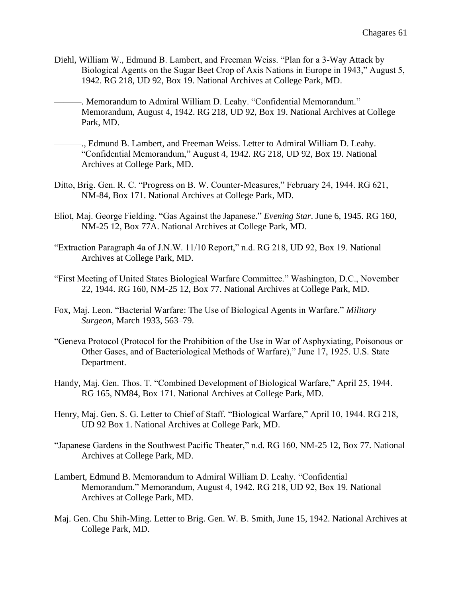- Diehl, William W., Edmund B. Lambert, and Freeman Weiss. "Plan for a 3-Way Attack by Biological Agents on the Sugar Beet Crop of Axis Nations in Europe in 1943," August 5, 1942. RG 218, UD 92, Box 19. National Archives at College Park, MD.
- -. Memorandum to Admiral William D. Leahy. "Confidential Memorandum." Memorandum, August 4, 1942. RG 218, UD 92, Box 19. National Archives at College Park, MD.
- ———., Edmund B. Lambert, and Freeman Weiss. Letter to Admiral William D. Leahy. "Confidential Memorandum," August 4, 1942. RG 218, UD 92, Box 19. National Archives at College Park, MD.
- Ditto, Brig. Gen. R. C. "Progress on B. W. Counter-Measures," February 24, 1944. RG 621, NM-84, Box 171. National Archives at College Park, MD.
- Eliot, Maj. George Fielding. "Gas Against the Japanese." *Evening Star*. June 6, 1945. RG 160, NM-25 12, Box 77A. National Archives at College Park, MD.
- "Extraction Paragraph 4a of J.N.W. 11/10 Report," n.d. RG 218, UD 92, Box 19. National Archives at College Park, MD.
- "First Meeting of United States Biological Warfare Committee." Washington, D.C., November 22, 1944. RG 160, NM-25 12, Box 77. National Archives at College Park, MD.
- Fox, Maj. Leon. "Bacterial Warfare: The Use of Biological Agents in Warfare." *Military Surgeon*, March 1933, 563–79.
- "Geneva Protocol (Protocol for the Prohibition of the Use in War of Asphyxiating, Poisonous or Other Gases, and of Bacteriological Methods of Warfare)," June 17, 1925. U.S. State Department.
- Handy, Maj. Gen. Thos. T. "Combined Development of Biological Warfare," April 25, 1944. RG 165, NM84, Box 171. National Archives at College Park, MD.
- Henry, Maj. Gen. S. G. Letter to Chief of Staff. "Biological Warfare," April 10, 1944. RG 218, UD 92 Box 1. National Archives at College Park, MD.
- "Japanese Gardens in the Southwest Pacific Theater," n.d. RG 160, NM-25 12, Box 77. National Archives at College Park, MD.
- Lambert, Edmund B. Memorandum to Admiral William D. Leahy. "Confidential Memorandum." Memorandum, August 4, 1942. RG 218, UD 92, Box 19. National Archives at College Park, MD.
- Maj. Gen. Chu Shih-Ming. Letter to Brig. Gen. W. B. Smith, June 15, 1942. National Archives at College Park, MD.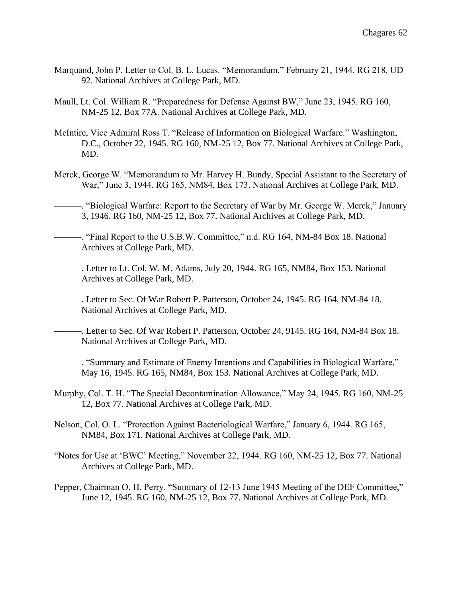- Marquand, John P. Letter to Col. B. L. Lucas. "Memorandum," February 21, 1944. RG 218, UD 92. National Archives at College Park, MD.
- Maull, Lt. Col. William R. "Preparedness for Defense Against BW," June 23, 1945. RG 160, NM-25 12, Box 77A. National Archives at College Park, MD.
- McIntire, Vice Admiral Ross T. "Release of Information on Biological Warfare." Washington, D.C., October 22, 1945. RG 160, NM-25 12, Box 77. National Archives at College Park, MD.
- Merck, George W. "Memorandum to Mr. Harvey H. Bundy, Special Assistant to the Secretary of War," June 3, 1944. RG 165, NM84, Box 173. National Archives at College Park, MD.
	- ———. "Biological Warfare: Report to the Secretary of War by Mr. George W. Merck," January 3, 1946. RG 160, NM-25 12, Box 77. National Archives at College Park, MD.
- ———. "Final Report to the U.S.B.W. Committee," n.d. RG 164, NM-84 Box 18. National Archives at College Park, MD.
- ———. Letter to Lt. Col. W. M. Adams, July 20, 1944. RG 165, NM84, Box 153. National Archives at College Park, MD.
- ———. Letter to Sec. Of War Robert P. Patterson, October 24, 1945. RG 164, NM-84 18. National Archives at College Park, MD.
- -. Letter to Sec. Of War Robert P. Patterson, October 24, 9145. RG 164, NM-84 Box 18. National Archives at College Park, MD.
- ———. "Summary and Estimate of Enemy Intentions and Capabilities in Biological Warfare," May 16, 1945. RG 165, NM84, Box 153. National Archives at College Park, MD.
- Murphy, Col. T. H. "The Special Decontamination Allowance," May 24, 1945. RG 160, NM-25 12, Box 77. National Archives at College Park, MD.
- Nelson, Col. O. L. "Protection Against Bacteriological Warfare," January 6, 1944. RG 165, NM84, Box 171. National Archives at College Park, MD.
- "Notes for Use at 'BWC' Meeting," November 22, 1944. RG 160, NM-25 12, Box 77. National Archives at College Park, MD.
- Pepper, Chairman O. H. Perry. "Summary of 12-13 June 1945 Meeting of the DEF Committee," June 12, 1945. RG 160, NM-25 12, Box 77. National Archives at College Park, MD.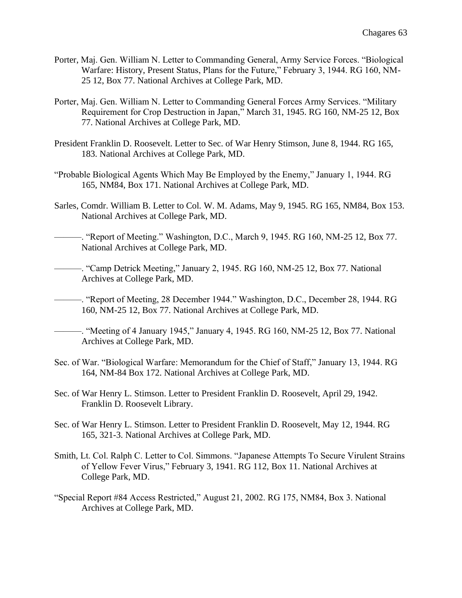- Porter, Maj. Gen. William N. Letter to Commanding General, Army Service Forces. "Biological Warfare: History, Present Status, Plans for the Future," February 3, 1944. RG 160, NM-25 12, Box 77. National Archives at College Park, MD.
- Porter, Maj. Gen. William N. Letter to Commanding General Forces Army Services. "Military Requirement for Crop Destruction in Japan," March 31, 1945. RG 160, NM-25 12, Box 77. National Archives at College Park, MD.
- President Franklin D. Roosevelt. Letter to Sec. of War Henry Stimson, June 8, 1944. RG 165, 183. National Archives at College Park, MD.
- "Probable Biological Agents Which May Be Employed by the Enemy," January 1, 1944. RG 165, NM84, Box 171. National Archives at College Park, MD.
- Sarles, Comdr. William B. Letter to Col. W. M. Adams, May 9, 1945. RG 165, NM84, Box 153. National Archives at College Park, MD.
- -. "Report of Meeting." Washington, D.C., March 9, 1945. RG 160, NM-25 12, Box 77. National Archives at College Park, MD.
	- ———. "Camp Detrick Meeting," January 2, 1945. RG 160, NM-25 12, Box 77. National Archives at College Park, MD.
- ———. "Report of Meeting, 28 December 1944." Washington, D.C., December 28, 1944. RG 160, NM-25 12, Box 77. National Archives at College Park, MD.
- ———. "Meeting of 4 January 1945," January 4, 1945. RG 160, NM-25 12, Box 77. National Archives at College Park, MD.
- Sec. of War. "Biological Warfare: Memorandum for the Chief of Staff," January 13, 1944. RG 164, NM-84 Box 172. National Archives at College Park, MD.
- Sec. of War Henry L. Stimson. Letter to President Franklin D. Roosevelt, April 29, 1942. Franklin D. Roosevelt Library.
- Sec. of War Henry L. Stimson. Letter to President Franklin D. Roosevelt, May 12, 1944. RG 165, 321-3. National Archives at College Park, MD.
- Smith, Lt. Col. Ralph C. Letter to Col. Simmons. "Japanese Attempts To Secure Virulent Strains of Yellow Fever Virus," February 3, 1941. RG 112, Box 11. National Archives at College Park, MD.
- "Special Report #84 Access Restricted," August 21, 2002. RG 175, NM84, Box 3. National Archives at College Park, MD.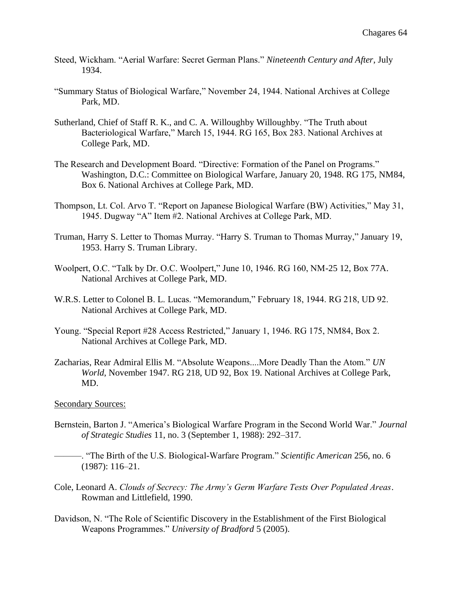- Steed, Wickham. "Aerial Warfare: Secret German Plans." *Nineteenth Century and After*, July 1934.
- "Summary Status of Biological Warfare," November 24, 1944. National Archives at College Park, MD.
- Sutherland, Chief of Staff R. K., and C. A. Willoughby Willoughby. "The Truth about Bacteriological Warfare," March 15, 1944. RG 165, Box 283. National Archives at College Park, MD.
- The Research and Development Board. "Directive: Formation of the Panel on Programs." Washington, D.C.: Committee on Biological Warfare, January 20, 1948. RG 175, NM84, Box 6. National Archives at College Park, MD.
- Thompson, Lt. Col. Arvo T. "Report on Japanese Biological Warfare (BW) Activities," May 31, 1945. Dugway "A" Item #2. National Archives at College Park, MD.
- Truman, Harry S. Letter to Thomas Murray. "Harry S. Truman to Thomas Murray," January 19, 1953. Harry S. Truman Library.
- Woolpert, O.C. "Talk by Dr. O.C. Woolpert," June 10, 1946. RG 160, NM-25 12, Box 77A. National Archives at College Park, MD.
- W.R.S. Letter to Colonel B. L. Lucas. "Memorandum," February 18, 1944. RG 218, UD 92. National Archives at College Park, MD.
- Young. "Special Report #28 Access Restricted," January 1, 1946. RG 175, NM84, Box 2. National Archives at College Park, MD.
- Zacharias, Rear Admiral Ellis M. "Absolute Weapons....More Deadly Than the Atom." *UN World*, November 1947. RG 218, UD 92, Box 19. National Archives at College Park, MD.

#### Secondary Sources:

- Bernstein, Barton J. "America's Biological Warfare Program in the Second World War." *Journal of Strategic Studies* 11, no. 3 (September 1, 1988): 292–317.
	- ———. "The Birth of the U.S. Biological-Warfare Program." *Scientific American* 256, no. 6 (1987): 116–21.
- Cole, Leonard A. *Clouds of Secrecy: The Army's Germ Warfare Tests Over Populated Areas*. Rowman and Littlefield, 1990.
- Davidson, N. "The Role of Scientific Discovery in the Establishment of the First Biological Weapons Programmes." *University of Bradford* 5 (2005).